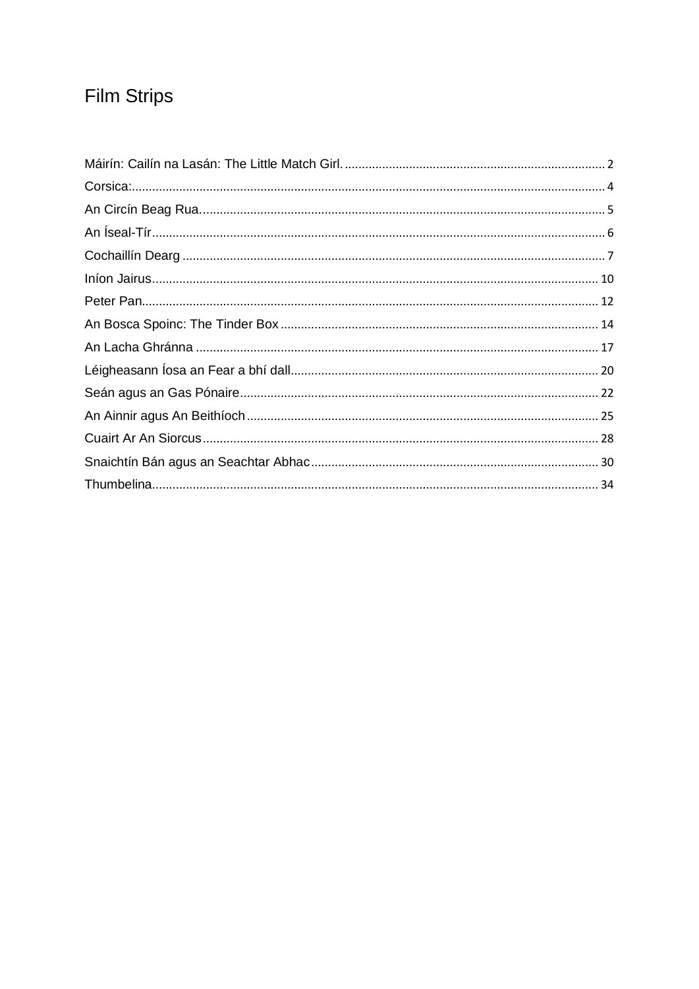# **Film Strips**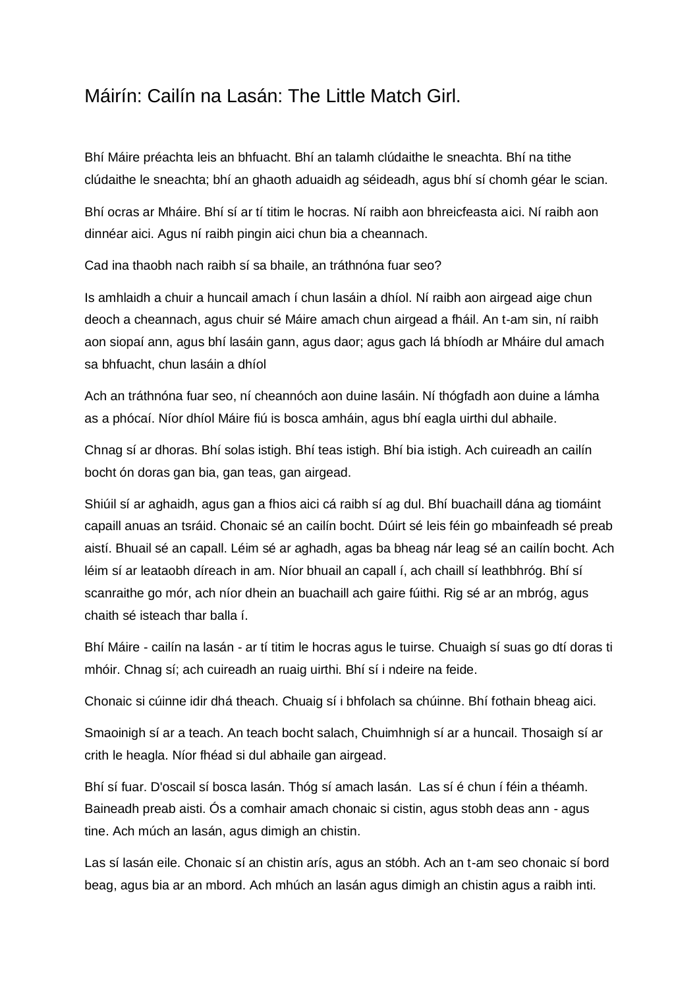#### <span id="page-1-0"></span>Máirín: Cailín na Lasán: The Little Match Girl.

Bhí Máire préachta leis an bhfuacht. Bhí an talamh clúdaithe le sneachta. Bhí na tithe clúdaithe le sneachta; bhí an ghaoth aduaidh ag séideadh, agus bhí sí chomh géar le scian.

Bhí ocras ar Mháire. Bhí sí ar tí titim le hocras. Ní raibh aon bhreicfeasta aici. Ní raibh aon dinnéar aici. Agus ní raibh pingin aici chun bia a cheannach.

Cad ina thaobh nach raibh sí sa bhaile, an tráthnóna fuar seo?

Is amhlaidh a chuir a huncail amach í chun lasáin a dhíol. Ní raibh aon airgead aige chun deoch a cheannach, agus chuir sé Máire amach chun airgead a fháil. An t-am sin, ní raibh aon siopaí ann, agus bhí lasáin gann, agus daor; agus gach lá bhíodh ar Mháire dul amach sa bhfuacht, chun lasáin a dhíol

Ach an tráthnóna fuar seo, ní cheannóch aon duine lasáin. Ní thógfadh aon duine a lámha as a phócaí. Níor dhíol Máire fiú is bosca amháin, agus bhí eagla uirthi dul abhaile.

Chnag sí ar dhoras. Bhí solas istigh. Bhí teas istigh. Bhí bia istigh. Ach cuireadh an cailín bocht ón doras gan bia, gan teas, gan airgead.

Shiúil sí ar aghaidh, agus gan a fhios aici cá raibh sí ag dul. Bhí buachaill dána ag tiomáint capaill anuas an tsráid. Chonaic sé an cailín bocht. Dúirt sé leis féin go mbainfeadh sé preab aistí. Bhuail sé an capall. Léim sé ar aghadh, agas ba bheag nár leag sé an cailín bocht. Ach léim sí ar leataobh díreach in am. Níor bhuail an capall í, ach chaill sí leathbhróg. Bhí sí scanraithe go mór, ach níor dhein an buachaill ach gaire fúithi. Rig sé ar an mbróg, agus chaith sé isteach thar balla í.

Bhí Máire - cailín na lasán - ar tí titim le hocras agus le tuirse. Chuaigh sí suas go dtí doras ti mhóir. Chnag sí; ach cuireadh an ruaig uirthi. Bhí sí i ndeire na feide.

Chonaic si cúinne idir dhá theach. Chuaig sí i bhfolach sa chúinne. Bhí fothain bheag aici.

Smaoinigh sí ar a teach. An teach bocht salach, Chuimhnigh sí ar a huncail. Thosaigh sí ar crith le heagla. Níor fhéad si dul abhaile gan airgead.

Bhí sí fuar. D'oscail sí bosca lasán. Thóg sí amach lasán. Las sí é chun í féin a théamh. Baineadh preab aisti. Ós a comhair amach chonaic si cistin, agus stobh deas ann - agus tine. Ach múch an lasán, agus dimigh an chistin.

Las sí lasán eile. Chonaic sí an chistin arís, agus an stóbh. Ach an t-am seo chonaic sí bord beag, agus bia ar an mbord. Ach mhúch an lasán agus dimigh an chistin agus a raibh inti.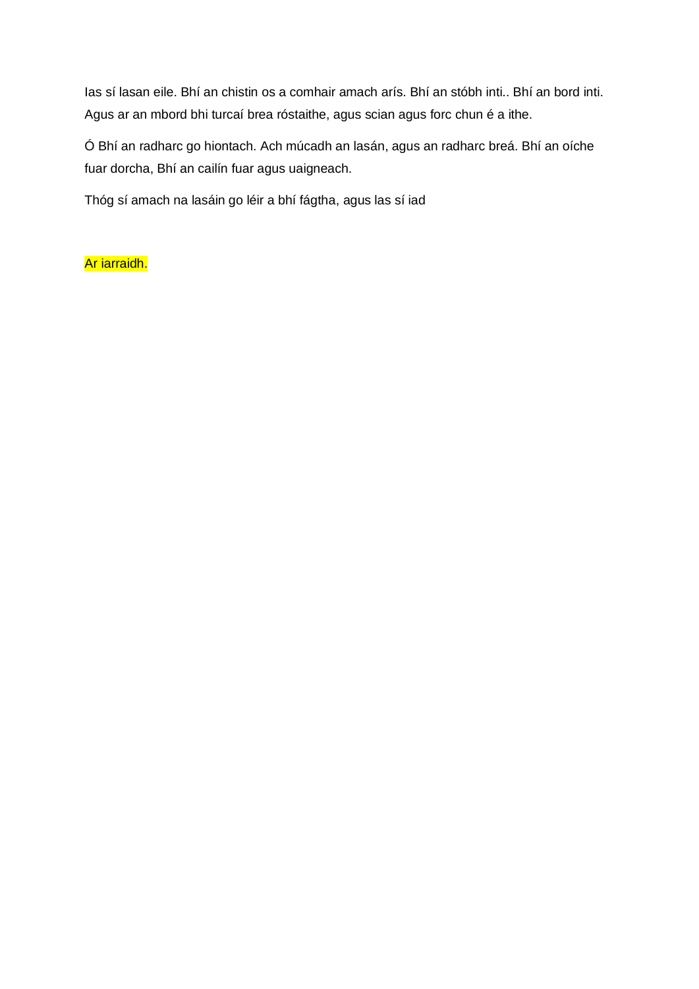Ias sí lasan eile. Bhí an chistin os a comhair amach arís. Bhí an stóbh inti.. Bhí an bord inti. Agus ar an mbord bhi turcaí brea róstaithe, agus scian agus forc chun é a ithe.

Ó Bhí an radharc go hiontach. Ach múcadh an lasán, agus an radharc breá. Bhí an oíche fuar dorcha, Bhí an cailín fuar agus uaigneach.

Thóg sí amach na lasáin go léir a bhí fágtha, agus las sí iad

#### Ar iarraidh.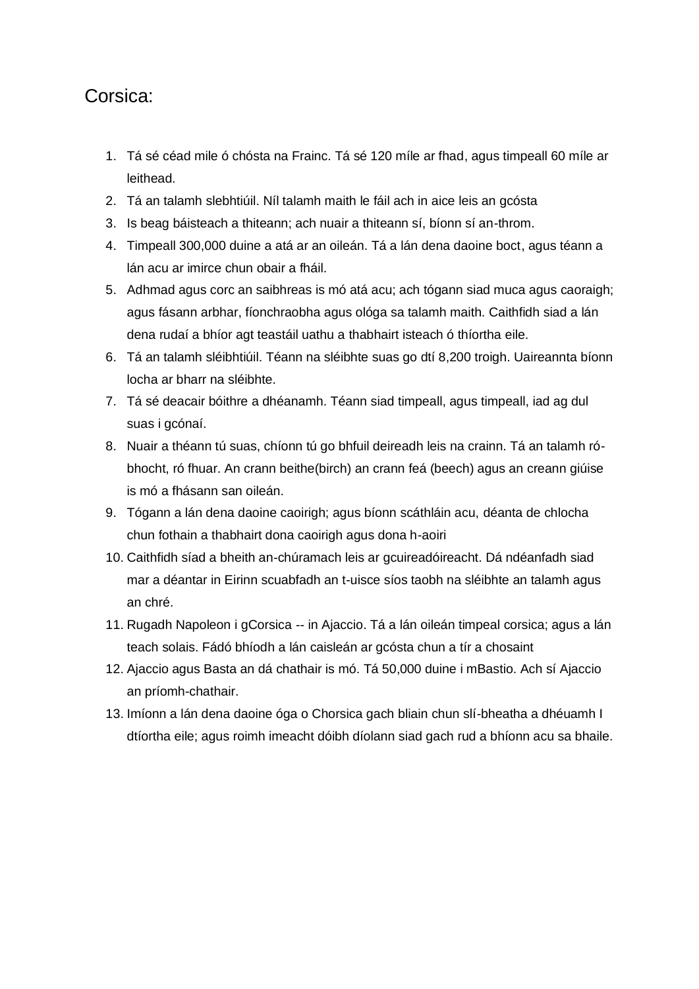#### <span id="page-3-0"></span>Corsica:

- 1. Tá sé céad mile ó chósta na Frainc. Tá sé 120 míle ar fhad, agus timpeall 60 míle ar leithead.
- 2. Tá an talamh slebhtiúil. Níl talamh maith le fáil ach in aice leis an gcósta
- 3. Is beag báisteach a thiteann; ach nuair a thiteann sí, bíonn sí an-throm.
- 4. Timpeall 300,000 duine a atá ar an oileán. Tá a lán dena daoine boct, agus téann a lán acu ar imirce chun obair a fháil.
- 5. Adhmad agus corc an saibhreas is mó atá acu; ach tógann siad muca agus caoraigh; agus fásann arbhar, fíonchraobha agus ológa sa talamh maith. Caithfidh siad a lán dena rudaí a bhíor agt teastáil uathu a thabhairt isteach ó thíortha eile.
- 6. Tá an talamh sléibhtiúil. Téann na sléibhte suas go dtí 8,200 troigh. Uaireannta bíonn locha ar bharr na sléibhte.
- 7. Tá sé deacair bóithre a dhéanamh. Téann siad timpeall, agus timpeall, iad ag dul suas i gcónaí.
- 8. Nuair a théann tú suas, chíonn tú go bhfuil deireadh leis na crainn. Tá an talamh róbhocht, ró fhuar. An crann beithe(birch) an crann feá (beech) agus an creann giúise is mó a fhásann san oileán.
- 9. Tógann a lán dena daoine caoirigh; agus bíonn scáthláin acu, déanta de chlocha chun fothain a thabhairt dona caoirigh agus dona h-aoiri
- 10. Caithfidh síad a bheith an-chúramach leis ar gcuireadóireacht. Dá ndéanfadh siad mar a déantar in Eirinn scuabfadh an t-uisce síos taobh na sléibhte an talamh agus an chré.
- 11. Rugadh Napoleon i gCorsica -- in Ajaccio. Tá a lán oileán timpeal corsica; agus a lán teach solais. Fádó bhíodh a lán caisleán ar gcósta chun a tír a chosaint
- 12. Ajaccio agus Basta an dá chathair is mó. Tá 50,000 duine i mBastio. Ach sí Ajaccio an príomh-chathair.
- 13. Imíonn a lán dena daoine óga o Chorsica gach bliain chun slí-bheatha a dhéuamh I dtíortha eile; agus roimh imeacht dóibh díolann siad gach rud a bhíonn acu sa bhaile.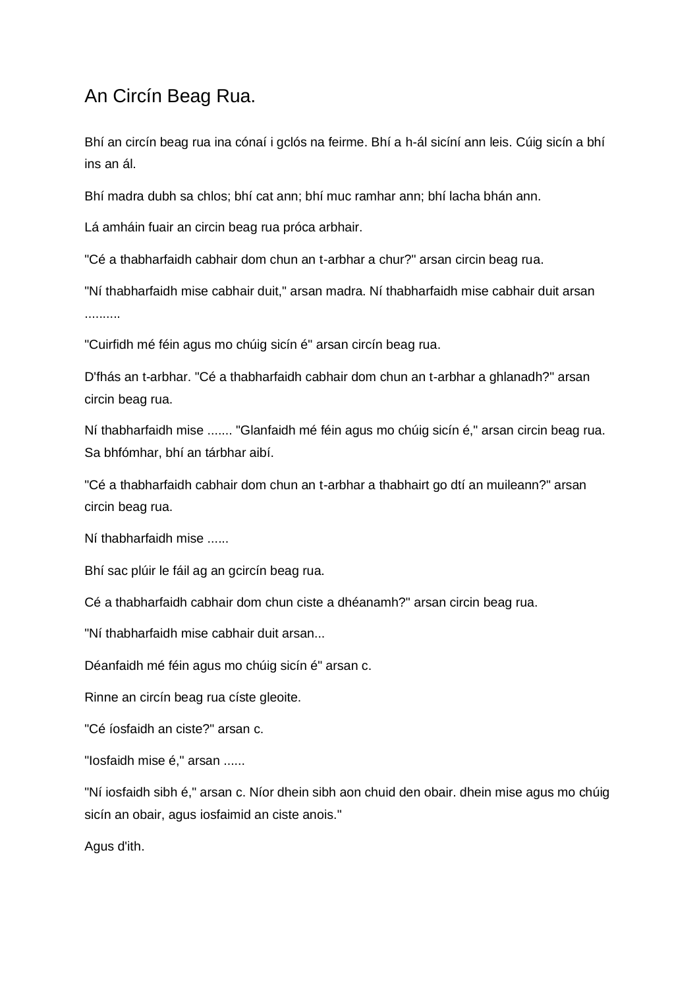#### <span id="page-4-0"></span>An Circín Beag Rua.

Bhí an circín beag rua ina cónaí i gclós na feirme. Bhí a h-ál sicíní ann leis. Cúig sicín a bhí ins an ál.

Bhí madra dubh sa chlos; bhí cat ann; bhí muc ramhar ann; bhí lacha bhán ann.

Lá amháin fuair an circin beag rua próca arbhair.

"Cé a thabharfaidh cabhair dom chun an t-arbhar a chur?" arsan circin beag rua.

"Ní thabharfaidh mise cabhair duit," arsan madra. Ní thabharfaidh mise cabhair duit arsan ..........

"Cuirfidh mé féin agus mo chúig sicín é" arsan circín beag rua.

D'fhás an t-arbhar. "Cé a thabharfaidh cabhair dom chun an t-arbhar a ghlanadh?" arsan circin beag rua.

Ní thabharfaidh mise ....... "Glanfaidh mé féin agus mo chúig sicín é," arsan circin beag rua. Sa bhfómhar, bhí an tárbhar aibí.

"Cé a thabharfaidh cabhair dom chun an t-arbhar a thabhairt go dtí an muileann?" arsan circin beag rua.

Ní thabharfaidh mise ......

Bhí sac plúir le fáil ag an gcircín beag rua.

Cé a thabharfaidh cabhair dom chun ciste a dhéanamh?" arsan circin beag rua.

"Ní thabharfaidh mise cabhair duit arsan...

Déanfaidh mé féin agus mo chúig sicín é" arsan c.

Rinne an circín beag rua císte gleoite.

"Cé íosfaidh an ciste?" arsan c.

"Iosfaidh mise é," arsan ......

"Ní iosfaidh sibh é," arsan c. Níor dhein sibh aon chuid den obair. dhein mise agus mo chúig sicín an obair, agus iosfaimid an ciste anois."

Agus d'ith.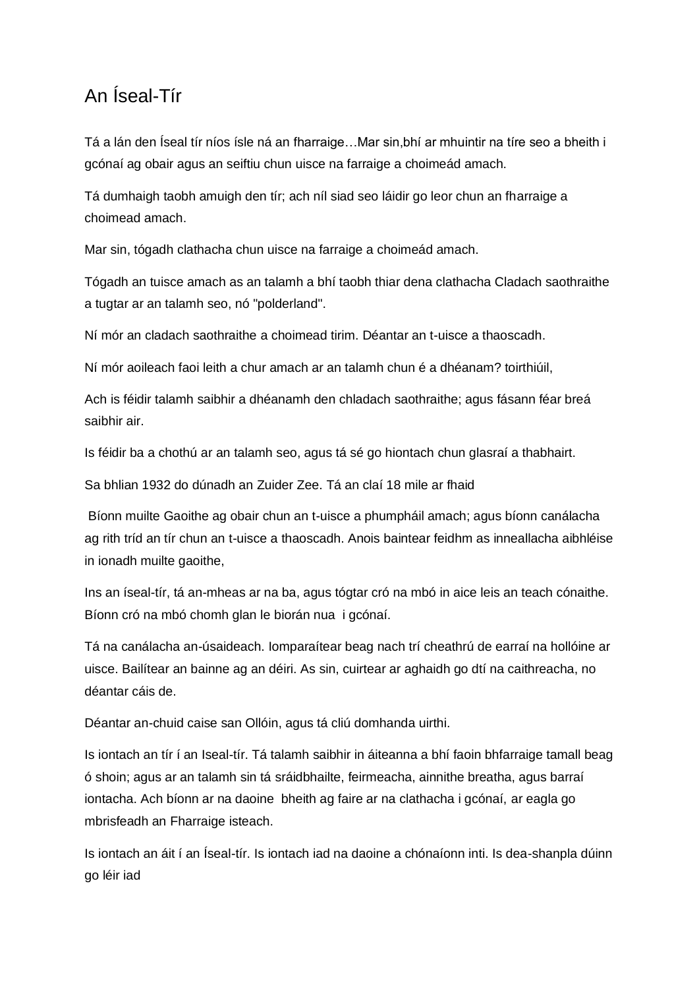#### <span id="page-5-0"></span>An Íseal-Tír

Tá a lán den Íseal tír níos ísle ná an fharraige…Mar sin,bhí ar mhuintir na tíre seo a bheith i gcónaí ag obair agus an seiftiu chun uisce na farraige a choimeád amach.

Tá dumhaigh taobh amuigh den tír; ach níl siad seo láidir go leor chun an fharraige a choimead amach.

Mar sin, tógadh clathacha chun uisce na farraige a choimeád amach.

Tógadh an tuisce amach as an talamh a bhí taobh thiar dena clathacha Cladach saothraithe a tugtar ar an talamh seo, nó "polderland".

Ní mór an cladach saothraithe a choimead tirim. Déantar an t-uisce a thaoscadh.

Ní mór aoileach faoi leith a chur amach ar an talamh chun é a dhéanam? toirthiúil,

Ach is féidir talamh saibhir a dhéanamh den chladach saothraithe; agus fásann féar breá saibhir air.

Is féidir ba a chothú ar an talamh seo, agus tá sé go hiontach chun glasraí a thabhairt.

Sa bhlian 1932 do dúnadh an Zuider Zee. Tá an claí 18 mile ar fhaid

Bíonn muilte Gaoithe ag obair chun an t-uisce a phumpháil amach; agus bíonn canálacha ag rith tríd an tír chun an t-uisce a thaoscadh. Anois baintear feidhm as inneallacha aibhléise in ionadh muilte gaoithe,

Ins an íseal-tír, tá an-mheas ar na ba, agus tógtar cró na mbó in aice leis an teach cónaithe. Bíonn cró na mbó chomh glan le biorán nua i gcónaí.

Tá na canálacha an-úsaideach. Iomparaítear beag nach trí cheathrú de earraí na hollóine ar uisce. Bailítear an bainne ag an déiri. As sin, cuirtear ar aghaidh go dtí na caithreacha, no déantar cáis de.

Déantar an-chuid caise san Ollóin, agus tá cliú domhanda uirthi.

Is iontach an tír í an Iseal-tír. Tá talamh saibhir in áiteanna a bhí faoin bhfarraige tamall beag ó shoin; agus ar an talamh sin tá sráidbhailte, feirmeacha, ainnithe breatha, agus barraí iontacha. Ach bíonn ar na daoine bheith ag faire ar na clathacha i gcónaí, ar eagla go mbrisfeadh an Fharraige isteach.

Is iontach an áit í an Íseal-tír. Is iontach iad na daoine a chónaíonn inti. Is dea-shanpla dúinn go léir iad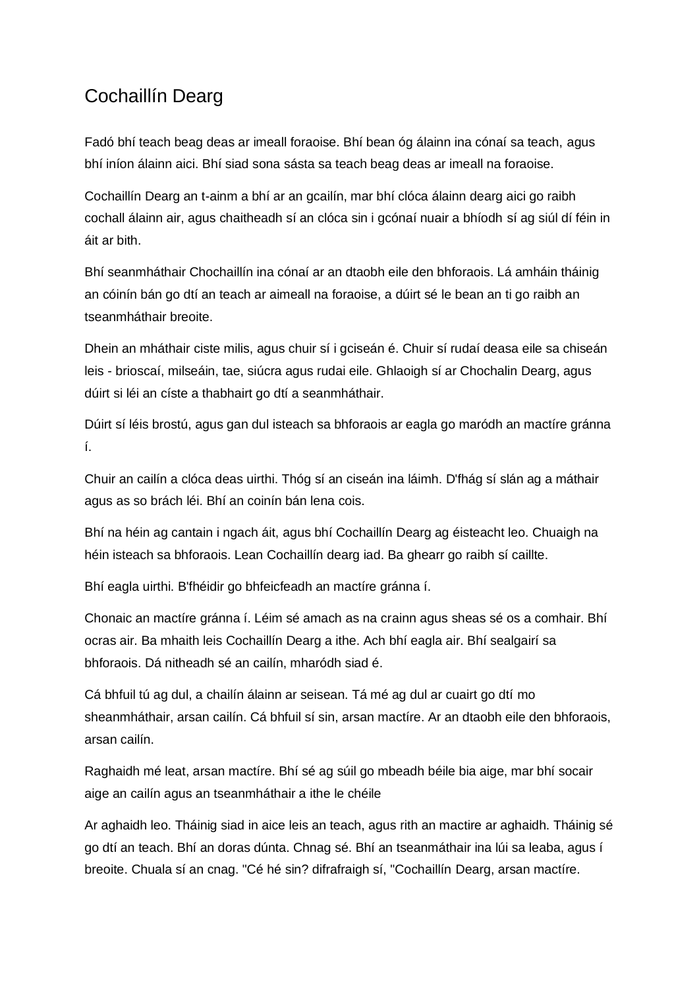# <span id="page-6-0"></span>Cochaillín Dearg

Fadó bhí teach beag deas ar imeall foraoise. Bhí bean óg álainn ina cónaí sa teach, agus bhí iníon álainn aici. Bhí siad sona sásta sa teach beag deas ar imeall na foraoise.

Cochaillín Dearg an t-ainm a bhí ar an gcailín, mar bhí clóca álainn dearg aici go raibh cochall álainn air, agus chaitheadh sí an clóca sin i gcónaí nuair a bhíodh sí ag siúl dí féin in áit ar bith.

Bhí seanmháthair Chochaillín ina cónaí ar an dtaobh eile den bhforaois. Lá amháin tháinig an cóinín bán go dtí an teach ar aimeall na foraoise, a dúirt sé le bean an ti go raibh an tseanmháthair breoite.

Dhein an mháthair ciste milis, agus chuir sí i gciseán é. Chuir sí rudaí deasa eile sa chiseán leis - brioscaí, milseáin, tae, siúcra agus rudai eile. Ghlaoigh sí ar Chochalin Dearg, agus dúirt si léi an císte a thabhairt go dtí a seanmháthair.

Dúirt sí léis brostú, agus gan dul isteach sa bhforaois ar eagla go maródh an mactíre gránna í.

Chuir an cailín a clóca deas uirthi. Thóg sí an ciseán ina láimh. D'fhág sí slán ag a máthair agus as so brách léi. Bhí an coinín bán lena cois.

Bhí na héin ag cantain i ngach áit, agus bhí Cochaillín Dearg ag éisteacht leo. Chuaigh na héin isteach sa bhforaois. Lean Cochaillín dearg iad. Ba ghearr go raibh sí caillte.

Bhí eagla uirthi. B'fhéidir go bhfeicfeadh an mactíre gránna í.

Chonaic an mactíre gránna í. Léim sé amach as na crainn agus sheas sé os a comhair. Bhí ocras air. Ba mhaith leis Cochaillín Dearg a ithe. Ach bhí eagla air. Bhí sealgairí sa bhforaois. Dá nitheadh sé an cailín, mharódh siad é.

Cá bhfuil tú ag dul, a chailín álainn ar seisean. Tá mé ag dul ar cuairt go dtí mo sheanmháthair, arsan cailín. Cá bhfuil sí sin, arsan mactíre. Ar an dtaobh eile den bhforaois, arsan cailín.

Raghaidh mé leat, arsan mactíre. Bhí sé ag súil go mbeadh béile bia aige, mar bhí socair aige an cailín agus an tseanmháthair a ithe le chéile

Ar aghaidh leo. Tháinig siad in aice leis an teach, agus rith an mactire ar aghaidh. Tháinig sé go dtí an teach. Bhí an doras dúnta. Chnag sé. Bhí an tseanmáthair ina lúi sa leaba, agus í breoite. Chuala sí an cnag. "Cé hé sin? difrafraigh sí, "Cochaillín Dearg, arsan mactíre.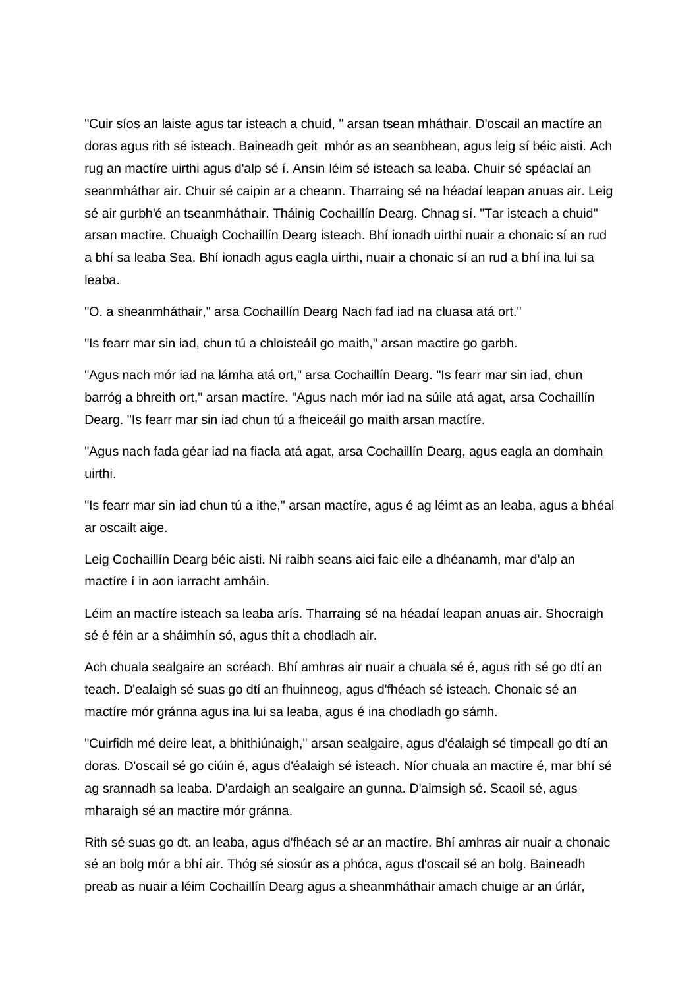"Cuir síos an laiste agus tar isteach a chuid, " arsan tsean mháthair. D'oscail an mactíre an doras agus rith sé isteach. Baineadh geit mhór as an seanbhean, agus leig sí béic aisti. Ach rug an mactíre uirthi agus d'alp sé í. Ansin léim sé isteach sa leaba. Chuir sé spéaclaí an seanmháthar air. Chuir sé caipin ar a cheann. Tharraing sé na héadaí leapan anuas air. Leig sé air gurbh'é an tseanmháthair. Tháinig Cochaillín Dearg. Chnag sí. "Tar isteach a chuid" arsan mactire. Chuaigh Cochaillín Dearg isteach. Bhí ionadh uirthi nuair a chonaic sí an rud a bhí sa leaba Sea. Bhí ionadh agus eagla uirthi, nuair a chonaic sí an rud a bhí ina lui sa leaba.

"O. a sheanmháthair," arsa Cochaillín Dearg Nach fad iad na cluasa atá ort."

"Is fearr mar sin iad, chun tú a chloisteáil go maith," arsan mactire go garbh.

"Agus nach mór iad na lámha atá ort," arsa Cochaillín Dearg. "Is fearr mar sin iad, chun barróg a bhreith ort," arsan mactíre. "Agus nach mór iad na súile atá agat, arsa Cochaillín Dearg. "Is fearr mar sin iad chun tú a fheiceáil go maith arsan mactíre.

"Agus nach fada géar iad na fiacla atá agat, arsa Cochaillín Dearg, agus eagla an domhain uirthi.

"Is fearr mar sin iad chun tú a ithe," arsan mactíre, agus é ag léimt as an leaba, agus a bhéal ar oscailt aige.

Leig Cochaillín Dearg béic aisti. Ní raibh seans aici faic eile a dhéanamh, mar d'alp an mactíre í in aon iarracht amháin.

Léim an mactíre isteach sa leaba arís. Tharraing sé na héadaí leapan anuas air. Shocraigh sé é féin ar a sháimhín só, agus thít a chodladh air.

Ach chuala sealgaire an scréach. Bhí amhras air nuair a chuala sé é, agus rith sé go dtí an teach. D'ealaigh sé suas go dtí an fhuinneog, agus d'fhéach sé isteach. Chonaic sé an mactíre mór gránna agus ina lui sa leaba, agus é ina chodladh go sámh.

"Cuirfidh mé deire leat, a bhithiúnaigh," arsan sealgaire, agus d'éalaigh sé timpeall go dtí an doras. D'oscail sé go ciúin é, agus d'éalaigh sé isteach. Níor chuala an mactire é, mar bhí sé ag srannadh sa leaba. D'ardaigh an sealgaire an gunna. D'aimsigh sé. Scaoil sé, agus mharaigh sé an mactire mór gránna.

Rith sé suas go dt. an leaba, agus d'fhéach sé ar an mactíre. Bhí amhras air nuair a chonaic sé an bolg mór a bhí air. Thóg sé siosúr as a phóca, agus d'oscail sé an bolg. Baineadh preab as nuair a léim Cochaillín Dearg agus a sheanmháthair amach chuige ar an úrlár,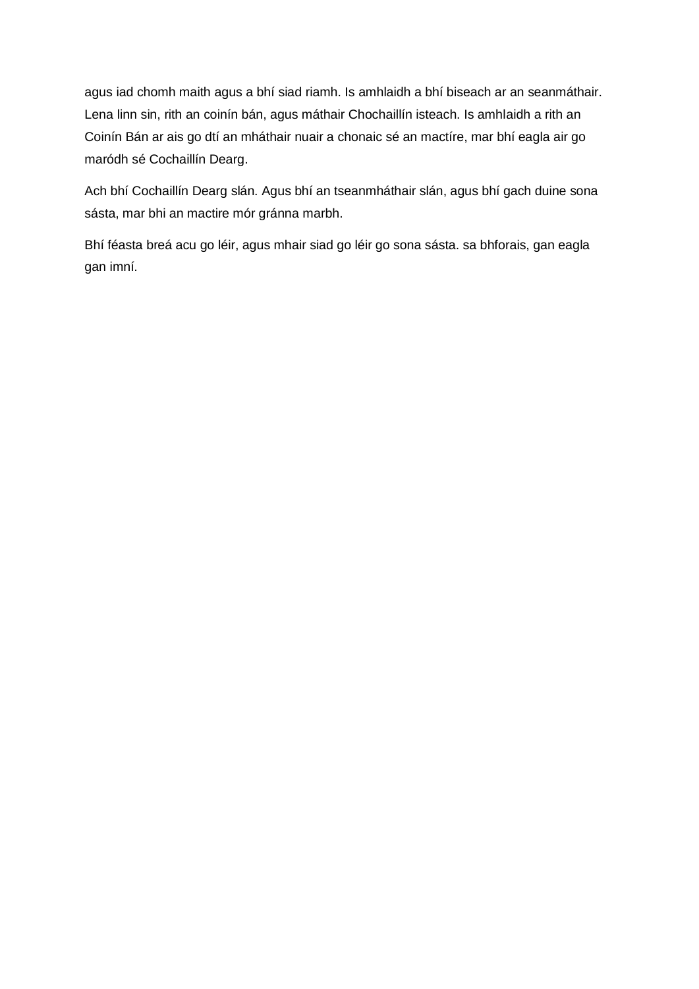agus iad chomh maith agus a bhí siad riamh. Is amhlaidh a bhí biseach ar an seanmáthair. Lena linn sin, rith an coinín bán, agus máthair Chochaillín isteach. Is amhlaidh a rith an Coinín Bán ar ais go dtí an mháthair nuair a chonaic sé an mactíre, mar bhí eagla air go maródh sé Cochaillín Dearg.

Ach bhí Cochaillín Dearg slán. Agus bhí an tseanmháthair slán, agus bhí gach duine sona sásta, mar bhi an mactire mór gránna marbh.

Bhí féasta breá acu go léir, agus mhair siad go léir go sona sásta. sa bhforais, gan eagla gan imní.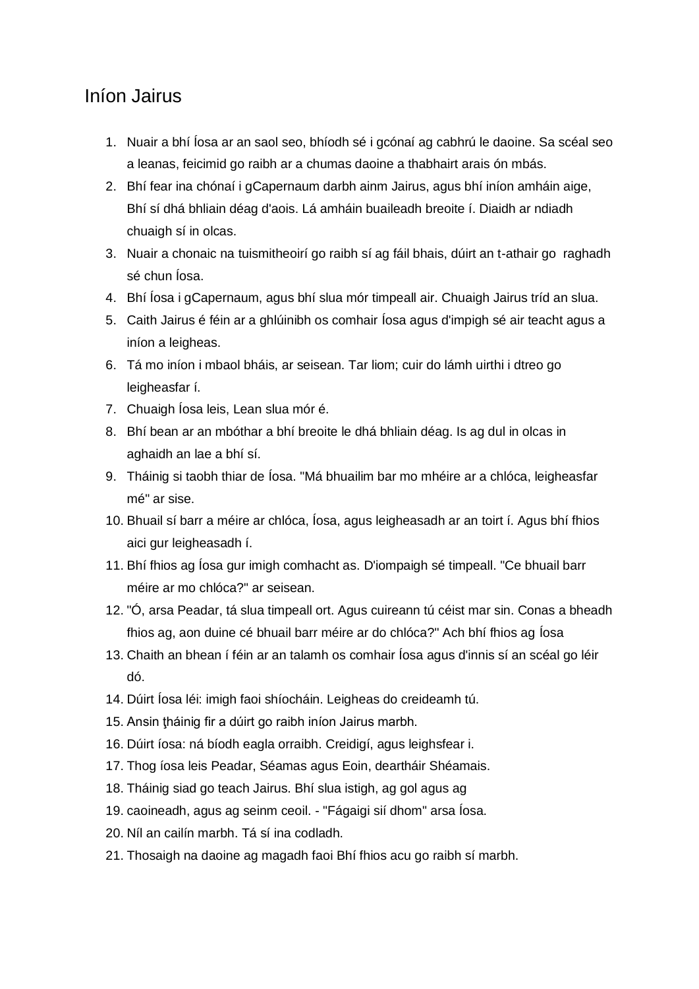#### <span id="page-9-0"></span>Iníon Jairus

- 1. Nuair a bhí Íosa ar an saol seo, bhíodh sé i gcónaí ag cabhrú le daoine. Sa scéal seo a leanas, feicimid go raibh ar a chumas daoine a thabhairt arais ón mbás.
- 2. Bhí fear ina chónaí i gCapernaum darbh ainm Jairus, agus bhí iníon amháin aige, Bhí sí dhá bhliain déag d'aois. Lá amháin buaileadh breoite í. Diaidh ar ndiadh chuaigh sí in olcas.
- 3. Nuair a chonaic na tuismitheoirí go raibh sí ag fáil bhais, dúirt an t-athair go raghadh sé chun Íosa.
- 4. Bhí Íosa i gCapernaum, agus bhí slua mór timpeall air. Chuaigh Jairus tríd an slua.
- 5. Caith Jairus é féin ar a ghlúinibh os comhair Íosa agus d'impigh sé air teacht agus a iníon a leigheas.
- 6. Tá mo iníon i mbaol bháis, ar seisean. Tar liom; cuir do lámh uirthi i dtreo go leigheasfar í.
- 7. Chuaigh Íosa leis, Lean slua mór é.
- 8. Bhí bean ar an mbóthar a bhí breoite le dhá bhliain déag. Is ag dul in olcas in aghaidh an lae a bhí sí.
- 9. Tháinig si taobh thiar de Íosa. "Má bhuailim bar mo mhéire ar a chlóca, leigheasfar mé" ar sise.
- 10. Bhuail sí barr a méire ar chlóca, Íosa, agus leigheasadh ar an toirt í. Agus bhí fhios aici gur leigheasadh í.
- 11. Bhí fhios ag Íosa gur imigh comhacht as. D'iompaigh sé timpeall. "Ce bhuail barr méire ar mo chlóca?" ar seisean.
- 12. "Ó, arsa Peadar, tá slua timpeall ort. Agus cuireann tú céist mar sin. Conas a bheadh fhios ag, aon duine cé bhuail barr méire ar do chlóca?" Ach bhí fhios ag Íosa
- 13. Chaith an bhean í féin ar an talamh os comhair Íosa agus d'innis sí an scéal go léir dó.
- 14. Dúirt Íosa léi: imigh faoi shíocháin. Leigheas do creideamh tú.
- 15. Ansin ţháinig fir a dúirt go raibh iníon Jairus marbh.
- 16. Dúirt íosa: ná bíodh eagla orraibh. Creidigí, agus leighsfear i.
- 17. Thog íosa leis Peadar, Séamas agus Eoin, deartháir Shéamais.
- 18. Tháinig siad go teach Jairus. Bhí slua istigh, ag gol agus ag
- 19. caoineadh, agus ag seinm ceoil. "Fágaigi sií dhom" arsa Íosa.
- 20. Níl an cailín marbh. Tá sí ina codladh.
- 21. Thosaigh na daoine ag magadh faoi Bhí fhios acu go raibh sí marbh.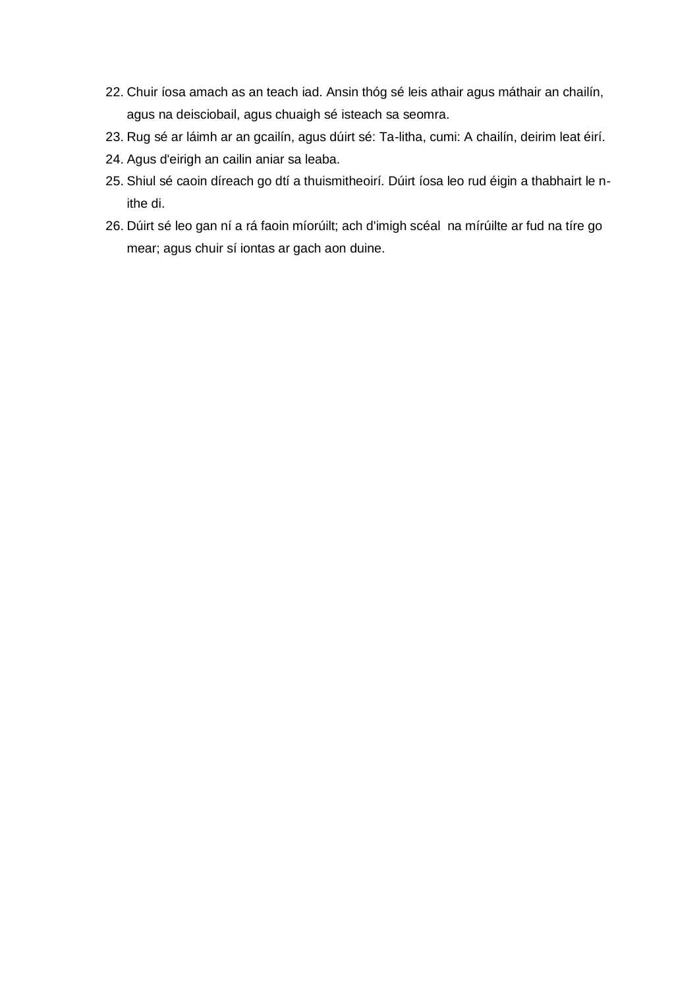- 22. Chuir íosa amach as an teach iad. Ansin thóg sé leis athair agus máthair an chailín, agus na deisciobail, agus chuaigh sé isteach sa seomra.
- 23. Rug sé ar láimh ar an gcailín, agus dúirt sé: Ta-litha, cumi: A chailín, deirim leat éirí.
- 24. Agus d'eirigh an cailin aniar sa leaba.
- 25. Shiul sé caoin díreach go dtí a thuismitheoirí. Dúirt íosa leo rud éigin a thabhairt le nithe di.
- 26. Dúirt sé leo gan ní a rá faoin míorúilt; ach d'imigh scéal na mírúilte ar fud na tíre go mear; agus chuir sí iontas ar gach aon duine.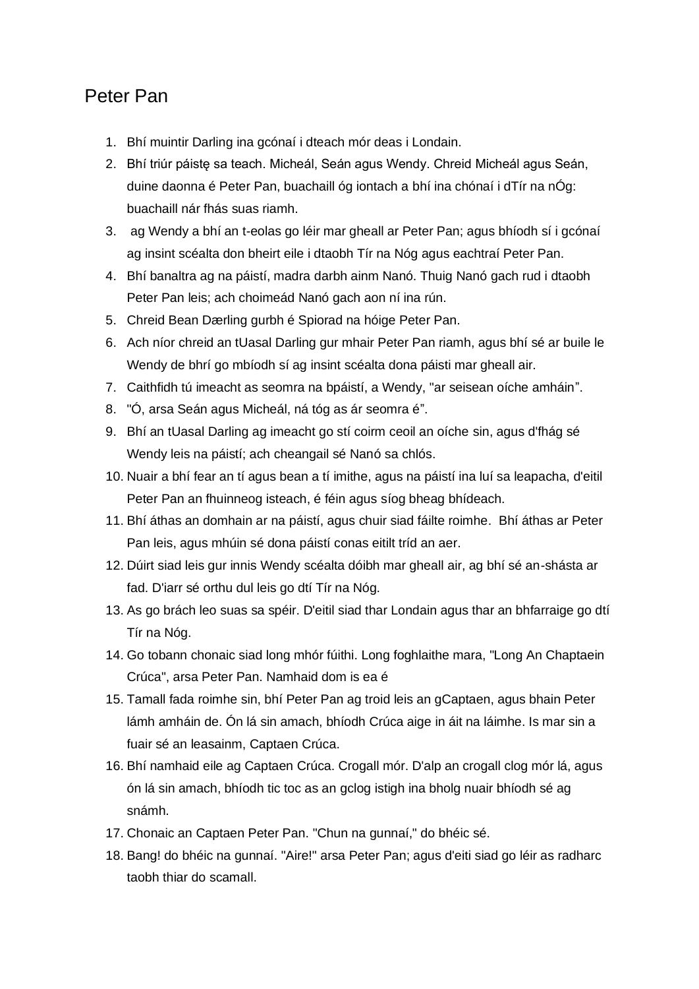#### <span id="page-11-0"></span>Peter Pan

- 1. Bhí muintir Darling ina gcónaí i dteach mór deas i Londain.
- 2. Bhí triúr páistę sa teach. Micheál, Seán agus Wendy. Chreid Micheál agus Seán, duine daonna é Peter Pan, buachaill óg iontach a bhí ina chónaí i dTír na nÓg: buachaill nár fhás suas riamh.
- 3. ag Wendy a bhí an t-eolas go léir mar gheall ar Peter Pan; agus bhíodh sí i gcónaí ag insint scéalta don bheirt eile i dtaobh Tír na Nóg agus eachtraí Peter Pan.
- 4. Bhí banaltra ag na páistí, madra darbh ainm Nanó. Thuig Nanó gach rud i dtaobh Peter Pan leis; ach choimeád Nanó gach aon ní ina rún.
- 5. Chreid Bean Dærling gurbh é Spiorad na hóige Peter Pan.
- 6. Ach níor chreid an tUasal Darling gur mhair Peter Pan riamh, agus bhí sé ar buile le Wendy de bhrí go mbíodh sí ag insint scéalta dona páisti mar gheall air.
- 7. Caithfidh tú imeacht as seomra na bpáistí, a Wendy, "ar seisean oíche amháin".
- 8. "Ó, arsa Seán agus Micheál, ná tóg as ár seomra é".
- 9. Bhí an tUasal Darling ag imeacht go stí coirm ceoil an oíche sin, agus d'fhág sé Wendy leis na páistí; ach cheangail sé Nanó sa chlós.
- 10. Nuair a bhí fear an tí agus bean a tí imithe, agus na páistí ina luí sa leapacha, d'eitil Peter Pan an fhuinneog isteach, é féin agus síog bheag bhídeach.
- 11. Bhí áthas an domhain ar na páistí, agus chuir siad fáilte roimhe. Bhí áthas ar Peter Pan leis, agus mhúin sé dona páistí conas eitilt tríd an aer.
- 12. Dúirt siad leis gur innis Wendy scéalta dóibh mar gheall air, ag bhí sé an-shásta ar fad. D'iarr sé orthu dul leis go dtí Tír na Nóg.
- 13. As go brách leo suas sa spéir. D'eitil siad thar Londain agus thar an bhfarraige go dtí Tír na Nóg.
- 14. Go tobann chonaic siad long mhór fúithi. Long foghlaithe mara, "Long An Chaptaein Crúca", arsa Peter Pan. Namhaid dom is ea é
- 15. Tamall fada roimhe sin, bhí Peter Pan ag troid leis an gCaptaen, agus bhain Peter lámh amháin de. Ón lá sin amach, bhíodh Crúca aige in áit na láimhe. Is mar sin a fuair sé an leasainm, Captaen Crúca.
- 16. Bhí namhaid eile ag Captaen Crúca. Crogall mór. D'alp an crogall clog mór lá, agus ón lá sin amach, bhíodh tic toc as an gclog istigh ina bholg nuair bhíodh sé ag snámh.
- 17. Chonaic an Captaen Peter Pan. "Chun na gunnaí," do bhéic sé.
- 18. Bang! do bhéic na gunnaí. "Aire!" arsa Peter Pan; agus d'eiti siad go léir as radharc taobh thiar do scamall.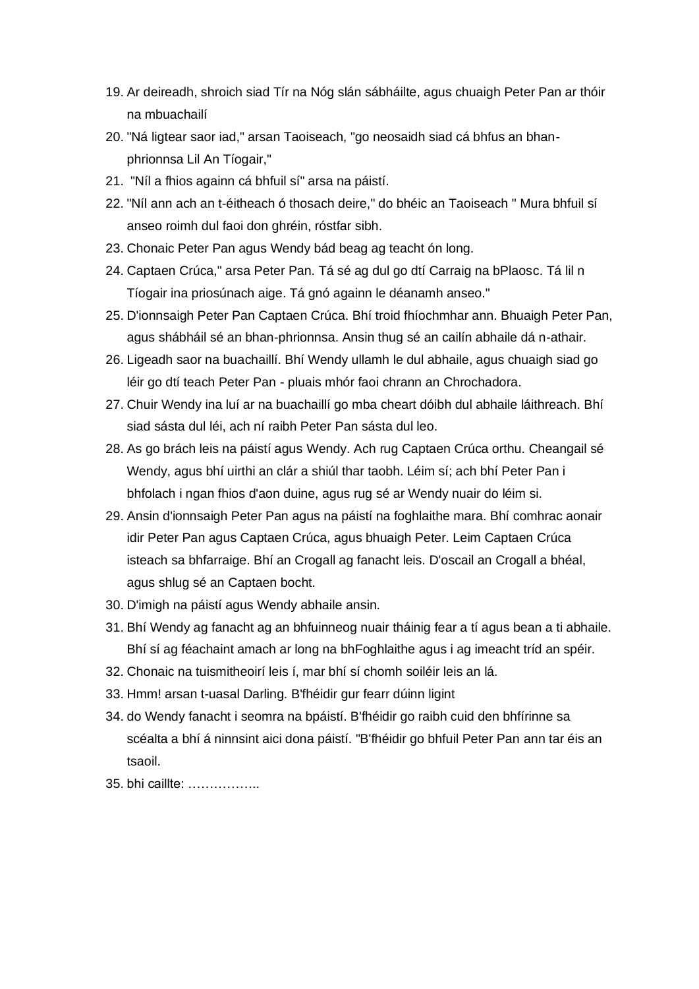- 19. Ar deireadh, shroich siad Tír na Nóg slán sábháilte, agus chuaigh Peter Pan ar thóir na mbuachailí
- 20. "Ná ligtear saor iad," arsan Taoiseach, "go neosaidh siad cá bhfus an bhanphrionnsa Lil An Tíogair,"
- 21. "Níl a fhios againn cá bhfuil sí" arsa na páistí.
- 22. "Níl ann ach an t-éitheach ó thosach deire," do bhéic an Taoiseach " Mura bhfuil sí anseo roimh dul faoi don ghréin, róstfar sibh.
- 23. Chonaic Peter Pan agus Wendy bád beag ag teacht ón long.
- 24. Captaen Crúca," arsa Peter Pan. Tá sé ag dul go dtí Carraig na bPlaosc. Tá lil n Tíogair ina priosúnach aige. Tá gnó againn le déanamh anseo."
- 25. D'ionnsaigh Peter Pan Captaen Crúca. Bhí troid fhíochmhar ann. Bhuaigh Peter Pan, agus shábháil sé an bhan-phrionnsa. Ansin thug sé an cailín abhaile dá n-athair.
- 26. Ligeadh saor na buachaillí. Bhí Wendy ullamh le dul abhaile, agus chuaigh siad go léir go dtí teach Peter Pan - pluais mhór faoi chrann an Chrochadora.
- 27. Chuir Wendy ina luí ar na buachaillí go mba cheart dóibh dul abhaile láithreach. Bhí siad sásta dul léi, ach ní raibh Peter Pan sásta dul leo.
- 28. As go brách leis na páistí agus Wendy. Ach rug Captaen Crúca orthu. Cheangail sé Wendy, agus bhí uirthi an clár a shiúl thar taobh. Léim sí; ach bhí Peter Pan i bhfolach i ngan fhios d'aon duine, agus rug sé ar Wendy nuair do léim si.
- 29. Ansin d'ionnsaigh Peter Pan agus na páistí na foghlaithe mara. Bhí comhrac aonair idir Peter Pan agus Captaen Crúca, agus bhuaigh Peter. Leim Captaen Crúca isteach sa bhfarraige. Bhí an Crogall ag fanacht leis. D'oscail an Crogall a bhéal, agus shlug sé an Captaen bocht.
- 30. D'imigh na páistí agus Wendy abhaile ansin.
- 31. Bhí Wendy ag fanacht ag an bhfuinneog nuair tháinig fear a tí agus bean a ti abhaile. Bhí sí ag féachaint amach ar long na bhFoghlaithe agus i ag imeacht tríd an spéir.
- 32. Chonaic na tuismitheoirí leis í, mar bhí sí chomh soiléir leis an lá.
- 33. Hmm! arsan t-uasal Darling. B'fhéidir gur fearr dúinn ligint
- 34. do Wendy fanacht i seomra na bpáistí. B'fhéidir go raibh cuid den bhfírinne sa scéalta a bhí á ninnsint aici dona páistí. "B'fhéidir go bhfuil Peter Pan ann tar éis an tsaoil.
- 35. bhi caillte: ……………..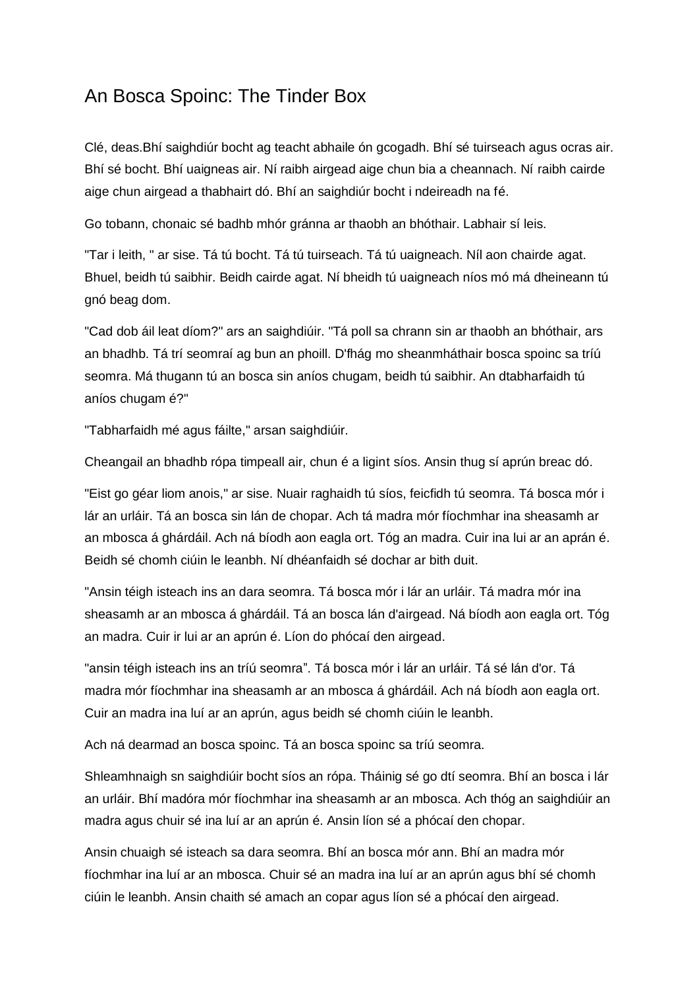### <span id="page-13-0"></span>An Bosca Spoinc: The Tinder Box

Clé, deas.Bhí saighdiúr bocht ag teacht abhaile ón gcogadh. Bhí sé tuirseach agus ocras air. Bhí sé bocht. Bhí uaigneas air. Ní raibh airgead aige chun bia a cheannach. Ní raibh cairde aige chun airgead a thabhairt dó. Bhí an saighdiúr bocht i ndeireadh na fé.

Go tobann, chonaic sé badhb mhór gránna ar thaobh an bhóthair. Labhair sí leis.

"Tar i leith, " ar sise. Tá tú bocht. Tá tú tuirseach. Tá tú uaigneach. Níl aon chairde agat. Bhuel, beidh tú saibhir. Beidh cairde agat. Ní bheidh tú uaigneach níos mó má dheineann tú gnó beag dom.

"Cad dob áil leat díom?" ars an saighdiúir. "Tá poll sa chrann sin ar thaobh an bhóthair, ars an bhadhb. Tá trí seomraí ag bun an phoill. D'fhág mo sheanmháthair bosca spoinc sa tríú seomra. Má thugann tú an bosca sin aníos chugam, beidh tú saibhir. An dtabharfaidh tú aníos chugam é?"

"Tabharfaidh mé agus fáilte," arsan saighdiúir.

Cheangail an bhadhb rópa timpeall air, chun é a ligint síos. Ansin thug sí aprún breac dó.

"Eist go géar liom anois," ar sise. Nuair raghaidh tú síos, feicfidh tú seomra. Tá bosca mór i lár an urláir. Tá an bosca sin lán de chopar. Ach tá madra mór fíochmhar ina sheasamh ar an mbosca á ghárdáil. Ach ná bíodh aon eagla ort. Tóg an madra. Cuir ina lui ar an aprán é. Beidh sé chomh ciúin le leanbh. Ní dhéanfaidh sé dochar ar bith duit.

"Ansin téigh isteach ins an dara seomra. Tá bosca mór i lár an urláir. Tá madra mór ina sheasamh ar an mbosca á ghárdáil. Tá an bosca lán d'airgead. Ná bíodh aon eagla ort. Tóg an madra. Cuir ir lui ar an aprún é. Líon do phócaí den airgead.

"ansin téigh isteach ins an tríú seomra". Tá bosca mór i lár an urláir. Tá sé lán d'or. Tá madra mór fíochmhar ina sheasamh ar an mbosca á ghárdáil. Ach ná bíodh aon eagla ort. Cuir an madra ina luí ar an aprún, agus beidh sé chomh ciúin le leanbh.

Ach ná dearmad an bosca spoinc. Tá an bosca spoinc sa tríú seomra.

Shleamhnaigh sn saighdiúir bocht síos an rópa. Tháinig sé go dtí seomra. Bhí an bosca i lár an urláir. Bhí madóra mór fíochmhar ina sheasamh ar an mbosca. Ach thóg an saighdiúir an madra agus chuir sé ina luí ar an aprún é. Ansin líon sé a phócaí den chopar.

Ansin chuaigh sé isteach sa dara seomra. Bhí an bosca mór ann. Bhí an madra mór fíochmhar ina luí ar an mbosca. Chuir sé an madra ina luí ar an aprún agus bhí sé chomh ciúin le leanbh. Ansin chaith sé amach an copar agus líon sé a phócaí den airgead.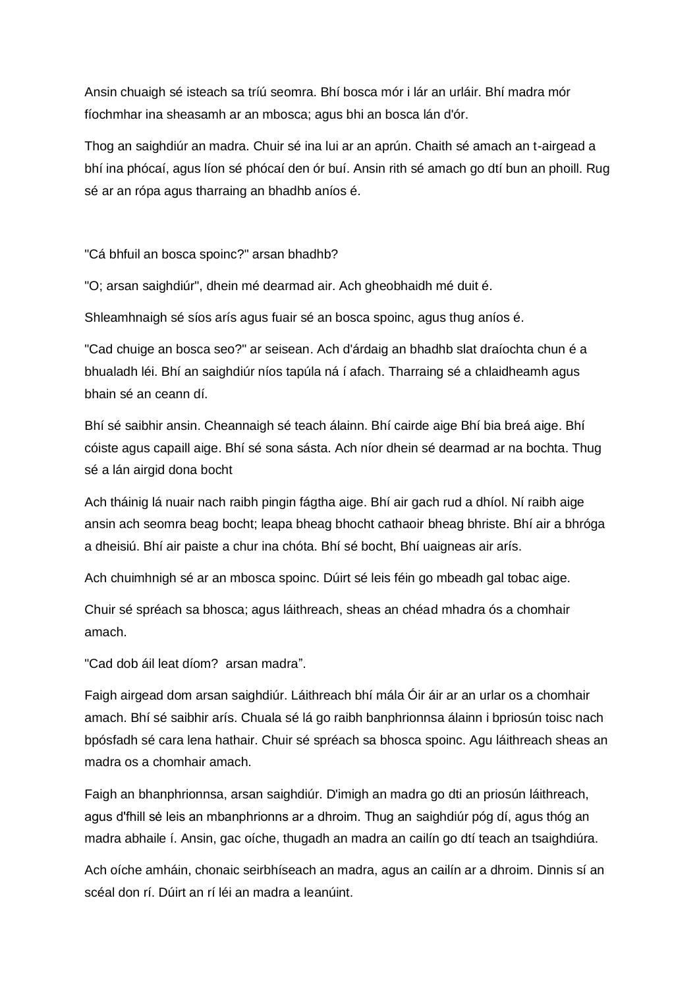Ansin chuaigh sé isteach sa tríú seomra. Bhí bosca mór i lár an urláir. Bhí madra mór fíochmhar ina sheasamh ar an mbosca; agus bhi an bosca lán d'ór.

Thog an saighdiúr an madra. Chuir sé ina lui ar an aprún. Chaith sé amach an t-airgead a bhí ina phócaí, agus líon sé phócaí den ór buí. Ansin rith sé amach go dtí bun an phoill. Rug sé ar an rópa agus tharraing an bhadhb aníos é.

"Cá bhfuil an bosca spoinc?" arsan bhadhb?

"O; arsan saighdiúr", dhein mé dearmad air. Ach gheobhaidh mé duit é.

Shleamhnaigh sé síos arís agus fuair sé an bosca spoinc, agus thug aníos é.

"Cad chuige an bosca seo?" ar seisean. Ach d'árdaig an bhadhb slat draíochta chun é a bhualadh léi. Bhí an saighdiúr níos tapúla ná í afach. Tharraing sé a chlaidheamh agus bhain sé an ceann dí.

Bhí sé saibhir ansin. Cheannaigh sé teach álainn. Bhí cairde aige Bhí bia breá aige. Bhí cóiste agus capaill aige. Bhí sé sona sásta. Ach níor dhein sé dearmad ar na bochta. Thug sé a lán airgid dona bocht

Ach tháinig lá nuair nach raibh pingin fágtha aige. Bhí air gach rud a dhíol. Ní raibh aige ansin ach seomra beag bocht; leapa bheag bhocht cathaoir bheag bhriste. Bhí air a bhróga a dheisiú. Bhí air paiste a chur ina chóta. Bhí sé bocht, Bhí uaigneas air arís.

Ach chuimhnigh sé ar an mbosca spoinc. Dúirt sé leis féin go mbeadh gal tobac aige.

Chuir sé spréach sa bhosca; agus láithreach, sheas an chéad mhadra ós a chomhair amach.

"Cad dob áil leat díom? arsan madra".

Faigh airgead dom arsan saighdiúr. Láithreach bhí mála Óir áir ar an urlar os a chomhair amach. Bhí sé saibhir arís. Chuala sé lá go raibh banphrionnsa álainn i bpriosún toisc nach bpósfadh sé cara lena hathair. Chuir sé spréach sa bhosca spoinc. Agu láithreach sheas an madra os a chomhair amach.

Faigh an bhanphrionnsa, arsan saighdiúr. D'imigh an madra go dti an priosún láithreach, agus d'fhill sė leis an mbanphrionns ar a dhroim. Thug an saighdiúr póg dí, agus thóg an madra abhaile í. Ansin, gac oíche, thugadh an madra an cailín go dtí teach an tsaighdiúra.

Ach oíche amháin, chonaic seirbhíseach an madra, agus an cailín ar a dhroim. Dinnis sí an scéal don rí. Dúirt an rí léi an madra a leanúint.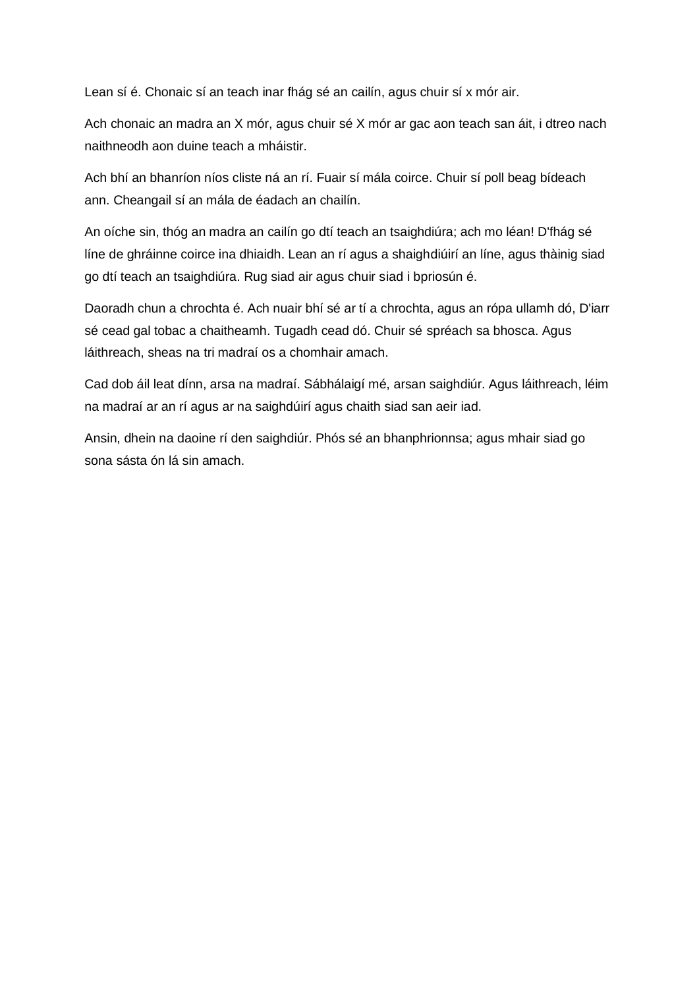Lean sí é. Chonaic sí an teach inar fhág sé an cailín, agus chuir sí x mór air.

Ach chonaic an madra an X mór, agus chuir sé X mór ar gac aon teach san áit, i dtreo nach naithneodh aon duine teach a mháistir.

Ach bhí an bhanríon níos cliste ná an rí. Fuair sí mála coirce. Chuir sí poll beag bídeach ann. Cheangail sí an mála de éadach an chailín.

An oíche sin, thóg an madra an cailín go dtí teach an tsaighdiúra; ach mo léan! D'fhág sé líne de ghráinne coirce ina dhiaidh. Lean an rí agus a shaighdiúirí an líne, agus thàinig siad go dtí teach an tsaighdiúra. Rug siad air agus chuir siad i bpriosún é.

Daoradh chun a chrochta é. Ach nuair bhí sé ar tí a chrochta, agus an rópa ullamh dó, D'iarr sé cead gal tobac a chaitheamh. Tugadh cead dó. Chuir sé spréach sa bhosca. Agus láithreach, sheas na tri madraí os a chomhair amach.

Cad dob áil leat dínn, arsa na madraí. Sábhálaigí mé, arsan saighdiúr. Agus láithreach, léim na madraí ar an rí agus ar na saighdúirí agus chaith siad san aeir iad.

Ansin, dhein na daoine rí den saighdiúr. Phós sé an bhanphrionnsa; agus mhair siad go sona sásta ón lá sin amach.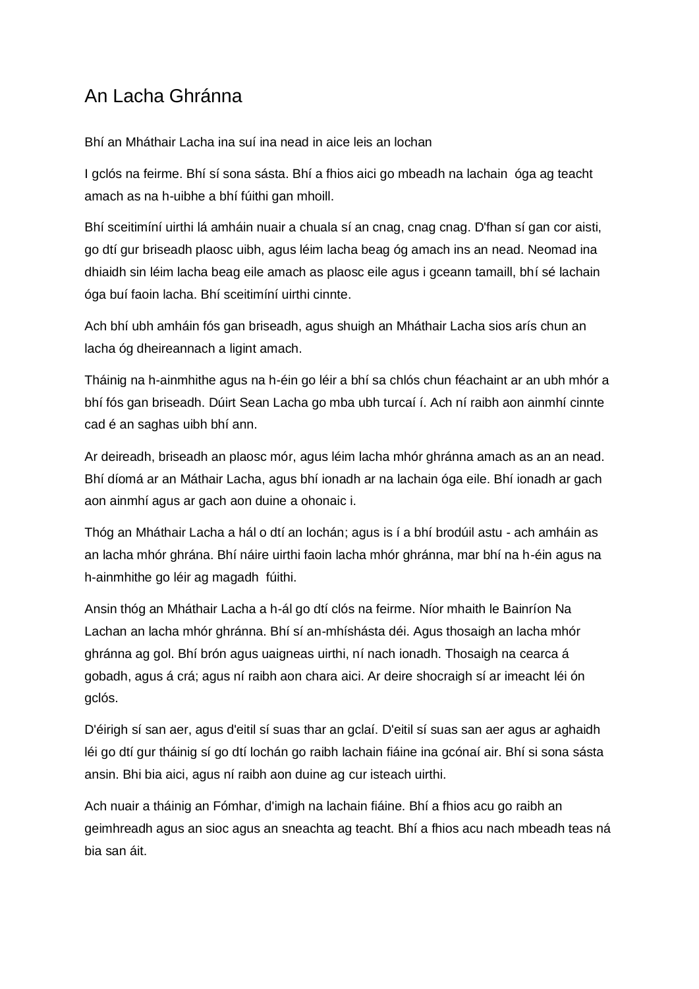# <span id="page-16-0"></span>An Lacha Ghránna

Bhí an Mháthair Lacha ina suí ina nead in aice leis an lochan

I gclós na feirme. Bhí sí sona sásta. Bhí a fhios aici go mbeadh na lachain óga ag teacht amach as na h-uibhe a bhí fúithi gan mhoill.

Bhí sceitimíní uirthi lá amháin nuair a chuala sí an cnag, cnag cnag. D'fhan sí gan cor aisti, go dtí gur briseadh plaosc uibh, agus léim lacha beag óg amach ins an nead. Neomad ina dhiaidh sin léim lacha beag eile amach as plaosc eile agus i gceann tamaill, bhí sé lachain óga buí faoin lacha. Bhí sceitimíní uirthi cinnte.

Ach bhí ubh amháin fós gan briseadh, agus shuigh an Mháthair Lacha sios arís chun an lacha óg dheireannach a ligint amach.

Tháinig na h-ainmhithe agus na h-éin go léir a bhí sa chlós chun féachaint ar an ubh mhór a bhí fós gan briseadh. Dúirt Sean Lacha go mba ubh turcaí í. Ach ní raibh aon ainmhí cinnte cad é an saghas uibh bhí ann.

Ar deireadh, briseadh an plaosc mór, agus léim lacha mhór ghránna amach as an an nead. Bhí díomá ar an Máthair Lacha, agus bhí ionadh ar na lachain óga eile. Bhí ionadh ar gach aon ainmhí agus ar gach aon duine a ohonaic i.

Thóg an Mháthair Lacha a hál o dtí an lochán; agus is í a bhí brodúil astu - ach amháin as an lacha mhór ghrána. Bhí náire uirthi faoin lacha mhór ghránna, mar bhí na h-éin agus na h-ainmhithe go léir ag magadh fúithi.

Ansin thóg an Mháthair Lacha a h-ál go dtí clós na feirme. Níor mhaith le Bainríon Na Lachan an lacha mhór ghránna. Bhí sí an-mhíshásta déi. Agus thosaigh an lacha mhór ghránna ag gol. Bhí brón agus uaigneas uirthi, ní nach ionadh. Thosaigh na cearca á gobadh, agus á crá; agus ní raibh aon chara aici. Ar deire shocraigh sí ar imeacht léi ón gclós.

D'éirigh sí san aer, agus d'eitil sí suas thar an gclaí. D'eitil sí suas san aer agus ar aghaidh léi go dtí gur tháinig sí go dtí lochán go raibh lachain fiáine ina gcónaí air. Bhí si sona sásta ansin. Bhi bia aici, agus ní raibh aon duine ag cur isteach uirthi.

Ach nuair a tháinig an Fómhar, d'imigh na lachain fiáine. Bhí a fhios acu go raibh an geimhreadh agus an sioc agus an sneachta ag teacht. Bhí a fhios acu nach mbeadh teas ná bia san áit.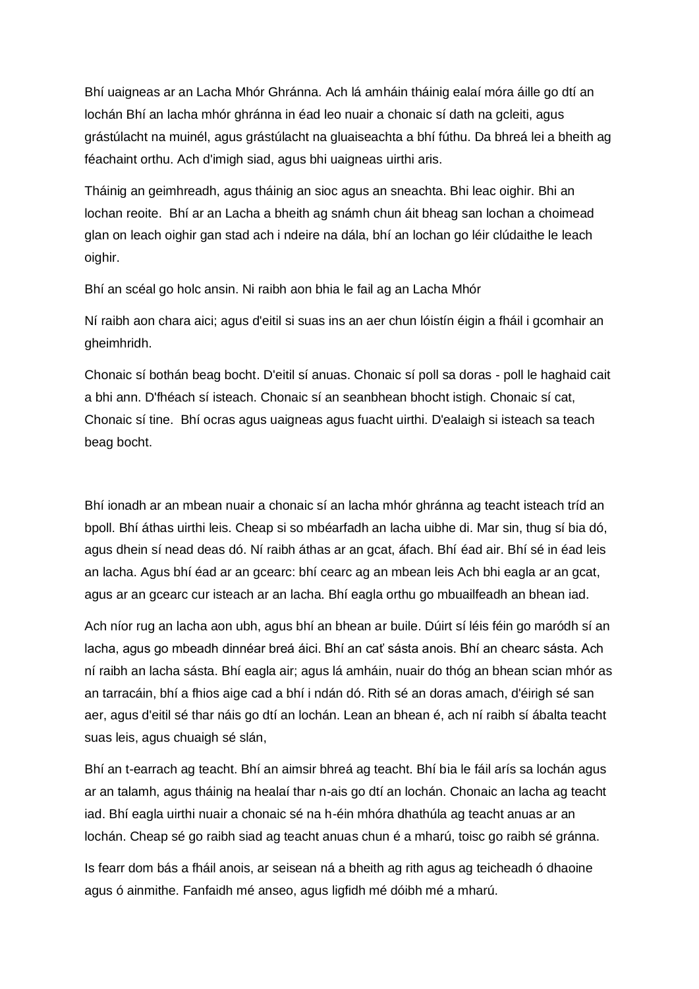Bhí uaigneas ar an Lacha Mhór Ghránna. Ach lá amháin tháinig ealaí móra áille go dtí an lochán Bhí an lacha mhór ghránna in éad leo nuair a chonaic sí dath na gcleiti, agus grástúlacht na muinél, agus grástúlacht na gluaiseachta a bhí fúthu. Da bhreá lei a bheith ag féachaint orthu. Ach d'imigh siad, agus bhi uaigneas uirthi aris.

Tháinig an geimhreadh, agus tháinig an sioc agus an sneachta. Bhi leac oighir. Bhi an lochan reoite. Bhí ar an Lacha a bheith ag snámh chun áit bheag san lochan a choimead glan on leach oighir gan stad ach i ndeire na dála, bhí an lochan go léir clúdaithe le leach oighir.

Bhí an scéal go holc ansin. Ni raibh aon bhia le fail ag an Lacha Mhór

Ní raibh aon chara aici; agus d'eitil si suas ins an aer chun lóistín éigin a fháil i gcomhair an gheimhridh.

Chonaic sí bothán beag bocht. D'eitil sí anuas. Chonaic sí poll sa doras - poll le haghaid cait a bhi ann. D'fhéach sí isteach. Chonaic sí an seanbhean bhocht istigh. Chonaic sí cat, Chonaic sí tine. Bhí ocras agus uaigneas agus fuacht uirthi. D'ealaigh si isteach sa teach beag bocht.

Bhí ionadh ar an mbean nuair a chonaic sí an lacha mhór ghránna ag teacht isteach tríd an bpoll. Bhí áthas uirthi leis. Cheap si so mbéarfadh an lacha uibhe di. Mar sin, thug sí bia dó, agus dhein sí nead deas dó. Ní raibh áthas ar an gcat, áfach. Bhí éad air. Bhí sé in éad leis an lacha. Agus bhí éad ar an gcearc: bhí cearc ag an mbean leis Ach bhi eagla ar an gcat, agus ar an gcearc cur isteach ar an lacha. Bhí eagla orthu go mbuailfeadh an bhean iad.

Ach níor rug an lacha aon ubh, agus bhí an bhean ar buile. Dúirt sí léis féin go maródh sí an lacha, agus go mbeadh dinnéar breá áici. Bhí an cať sásta anois. Bhí an chearc sásta. Ach ní raibh an lacha sásta. Bhí eagla air; agus lá amháin, nuair do thóg an bhean scian mhór as an tarracáin, bhí a fhios aige cad a bhí i ndán dó. Rith sé an doras amach, d'éirigh sé san aer, agus d'eitil sé thar náis go dtí an lochán. Lean an bhean é, ach ní raibh sí ábalta teacht suas leis, agus chuaigh sé slán,

Bhí an t-earrach ag teacht. Bhí an aimsir bhreá ag teacht. Bhí bia le fáil arís sa lochán agus ar an talamh, agus tháinig na healaí thar n-ais go dtí an lochán. Chonaic an lacha ag teacht iad. Bhí eagla uirthi nuair a chonaic sé na h-éin mhóra dhathúla ag teacht anuas ar an lochán. Cheap sé go raibh siad ag teacht anuas chun é a mharú, toisc go raibh sé gránna.

Is fearr dom bás a fháil anois, ar seisean ná a bheith ag rith agus ag teicheadh ó dhaoine agus ó ainmithe. Fanfaidh mé anseo, agus ligfidh mé dóibh mé a mharú.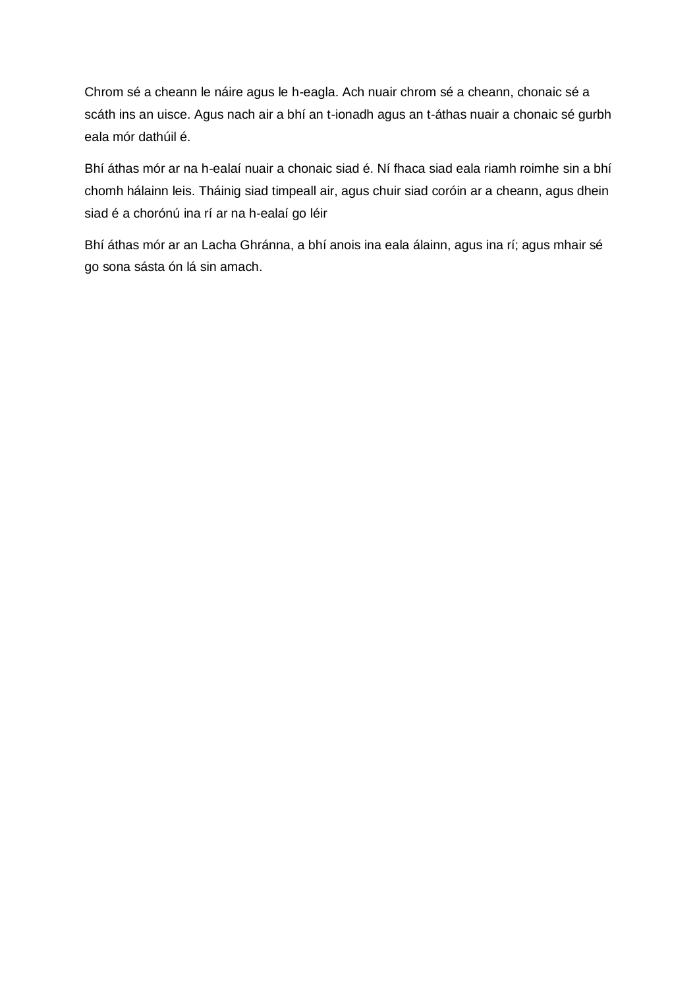Chrom sé a cheann le náire agus le h-eagla. Ach nuair chrom sé a cheann, chonaic sé a scáth ins an uisce. Agus nach air a bhí an t-ionadh agus an t-áthas nuair a chonaic sé gurbh eala mór dathúil é.

Bhí áthas mór ar na h-ealaí nuair a chonaic siad é. Ní fhaca siad eala riamh roimhe sin a bhí chomh hálainn leis. Tháinig siad timpeall air, agus chuir siad coróin ar a cheann, agus dhein siad é a chorónú ina rí ar na h-ealaí go léir

Bhí áthas mór ar an Lacha Ghránna, a bhí anois ina eala álainn, agus ina rí; agus mhair sé go sona sásta ón lá sin amach.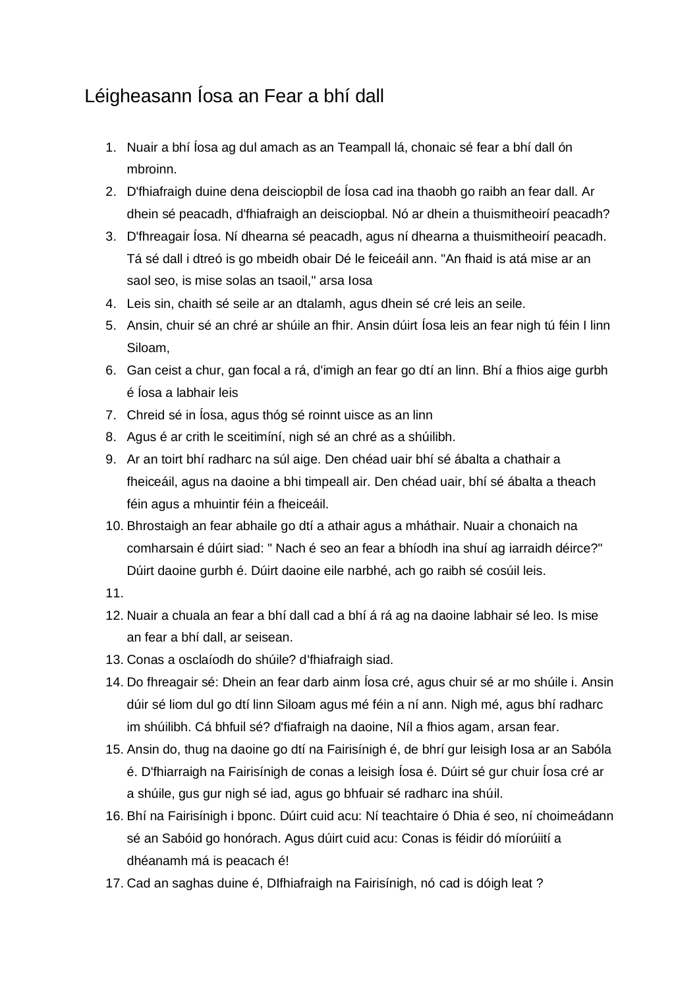# <span id="page-19-0"></span>Léigheasann Íosa an Fear a bhí dall

- 1. Nuair a bhí Íosa ag dul amach as an Teampall lá, chonaic sé fear a bhí dall ón mbroinn.
- 2. D'fhiafraigh duine dena deisciopbil de Íosa cad ina thaobh go raibh an fear dall. Ar dhein sé peacadh, d'fhiafraigh an deisciopbal. Nó ar dhein a thuismitheoirí peacadh?
- 3. D'fhreagair Íosa. Ní dhearna sé peacadh, agus ní dhearna a thuismitheoirí peacadh. Tá sé dall i dtreó is go mbeidh obair Dé le feiceáil ann. "An fhaid is atá mise ar an saol seo, is mise solas an tsaoil," arsa Iosa
- 4. Leis sin, chaith sé seile ar an dtalamh, agus dhein sé cré leis an seile.
- 5. Ansin, chuir sé an chré ar shúile an fhir. Ansin dúirt Íosa leis an fear nigh tú féin I linn Siloam,
- 6. Gan ceist a chur, gan focal a rá, d'imigh an fear go dtí an linn. Bhí a fhios aige gurbh é Íosa a labhair leis
- 7. Chreid sé in Íosa, agus thóg sé roinnt uisce as an linn
- 8. Agus é ar crith le sceitimíní, nigh sé an chré as a shúilibh.
- 9. Ar an toirt bhí radharc na súl aige. Den chéad uair bhí sé ábalta a chathair a fheiceáil, agus na daoine a bhi timpeall air. Den chéad uair, bhí sé ábalta a theach féin agus a mhuintir féin a fheiceáil.
- 10. Bhrostaigh an fear abhaile go dtí a athair agus a mháthair. Nuair a chonaich na comharsain é dúirt siad: " Nach é seo an fear a bhíodh ina shuí ag iarraidh déirce?" Dúirt daoine gurbh é. Dúirt daoine eile narbhé, ach go raibh sé cosúil leis.
- 11.
- 12. Nuair a chuala an fear a bhí dall cad a bhí á rá ag na daoine labhair sé leo. Is mise an fear a bhí dall, ar seisean.
- 13. Conas a osclaíodh do shúile? d'fhiafraigh siad.
- 14. Do fhreagair sé: Dhein an fear darb ainm Íosa cré, agus chuir sé ar mo shúile i. Ansin dúir sé liom dul go dtí linn Siloam agus mé féin a ní ann. Nigh mé, agus bhí radharc im shúilibh. Cá bhfuil sé? d'fiafraigh na daoine, Níl a fhios agam, arsan fear.
- 15. Ansin do, thug na daoine go dtí na Fairisínigh é, de bhrí gur leisigh Iosa ar an Sabóla é. D'fhiarraigh na Fairisínigh de conas a leisigh Íosa é. Dúirt sé gur chuir Íosa cré ar a shúile, gus gur nigh sé iad, agus go bhfuair sé radharc ina shúil.
- 16. Bhí na Fairisínigh i bponc. Dúirt cuid acu: Ní teachtaire ó Dhia é seo, ní choimeádann sé an Sabóid go honórach. Agus dúirt cuid acu: Conas is féidir dó míorúiití a dhéanamh má is peacach é!
- 17. Cad an saghas duine é, DIfhiafraigh na Fairisínigh, nó cad is dóigh leat ?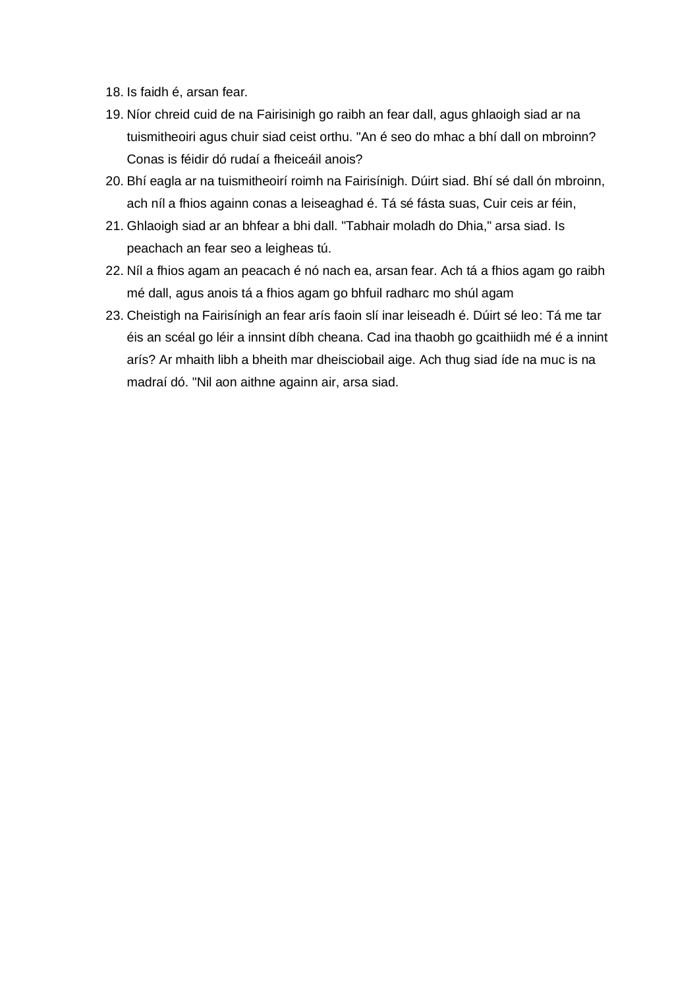- 18. Is faidh é, arsan fear.
- 19. Níor chreid cuid de na Fairisinigh go raibh an fear dall, agus ghlaoigh siad ar na tuismitheoiri agus chuir siad ceist orthu. "An é seo do mhac a bhí dall on mbroinn? Conas is féidir dó rudaí a fheiceáil anois?
- 20. Bhí eagla ar na tuismitheoirí roimh na Fairisínigh. Dúirt siad. Bhí sé dall ón mbroinn, ach níl a fhios againn conas a leiseaghad é. Tá sé fásta suas, Cuir ceis ar féin,
- 21. Ghlaoigh siad ar an bhfear a bhi dall. "Tabhair moladh do Dhia," arsa siad. Is peachach an fear seo a leigheas tú.
- 22. Níl a fhios agam an peacach é nó nach ea, arsan fear. Ach tá a fhios agam go raibh mé dall, agus anois tá a fhios agam go bhfuil radharc mo shúl agam
- 23. Cheistigh na Fairisínigh an fear arís faoin slí inar leiseadh é. Dúirt sé leo: Tá me tar éis an scéal go léir a innsint díbh cheana. Cad ina thaobh go gcaithiidh mé é a innint arís? Ar mhaith libh a bheith mar dheisciobail aige. Ach thug siad íde na muc is na madraí dó. "Nil aon aithne againn air, arsa siad.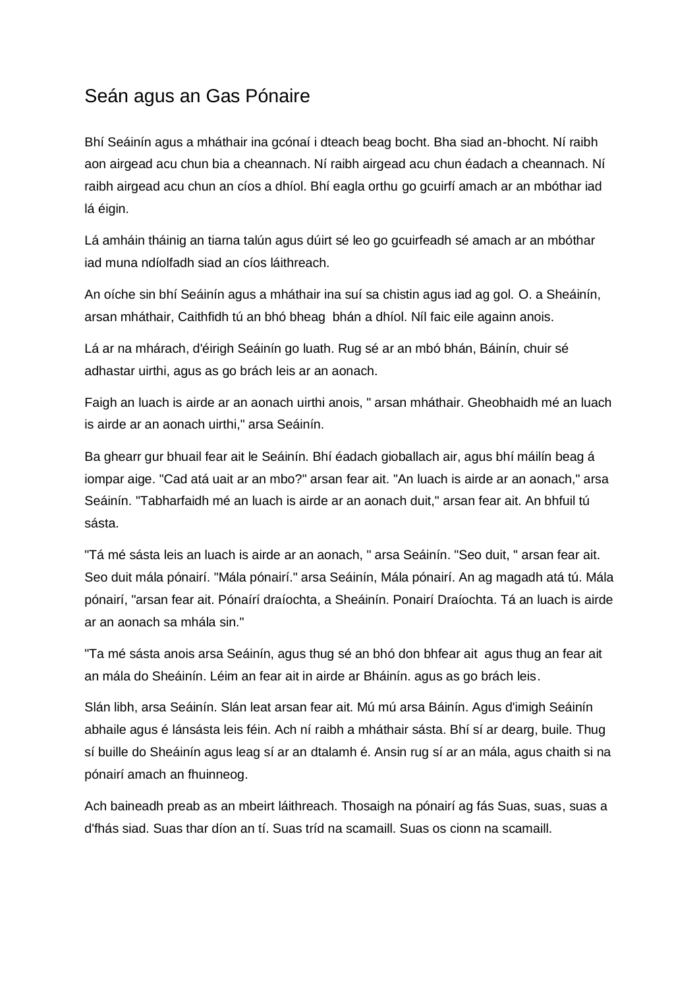### <span id="page-21-0"></span>Seán agus an Gas Pónaire

Bhí Seáinín agus a mháthair ina gcónaí i dteach beag bocht. Bha siad an-bhocht. Ní raibh aon airgead acu chun bia a cheannach. Ní raibh airgead acu chun éadach a cheannach. Ní raibh airgead acu chun an cíos a dhíol. Bhí eagla orthu go gcuirfí amach ar an mbóthar iad lá éigin.

Lá amháin tháinig an tiarna talún agus dúirt sé leo go gcuirfeadh sé amach ar an mbóthar iad muna ndíolfadh siad an cíos láithreach.

An oíche sin bhí Seáinín agus a mháthair ina suí sa chistin agus iad ag gol. O. a Sheáinín, arsan mháthair, Caithfidh tú an bhó bheag bhán a dhíol. Níl faic eile againn anois.

Lá ar na mhárach, d'éirigh Seáinín go luath. Rug sé ar an mbó bhán, Báinín, chuir sé adhastar uirthi, agus as go brách leis ar an aonach.

Faigh an luach is airde ar an aonach uirthi anois, " arsan mháthair. Gheobhaidh mé an luach is airde ar an aonach uirthi," arsa Seáinín.

Ba ghearr gur bhuail fear ait le Seáinín. Bhí éadach gioballach air, agus bhí máilín beag á iompar aige. "Cad atá uait ar an mbo?" arsan fear ait. "An luach is airde ar an aonach," arsa Seáinín. "Tabharfaidh mé an luach is airde ar an aonach duit," arsan fear ait. An bhfuil tú sásta.

"Tá mé sásta leis an luach is airde ar an aonach, " arsa Seáinín. "Seo duit, " arsan fear ait. Seo duit mála pónairí. "Mála pónairí." arsa Seáinín, Mála pónairí. An ag magadh atá tú. Mála pónairí, "arsan fear ait. Pónaírí draíochta, a Sheáinín. Ponairí Draíochta. Tá an luach is airde ar an aonach sa mhála sin."

"Ta mé sásta anois arsa Seáinín, agus thug sé an bhó don bhfear ait agus thug an fear ait an mála do Sheáinín. Léim an fear ait in airde ar Bháinín. agus as go brách leis.

Slán libh, arsa Seáinín. Slán leat arsan fear ait. Mú mú arsa Báinín. Agus d'imigh Seáinín abhaile agus é lánsásta leis féin. Ach ní raibh a mháthair sásta. Bhí sí ar dearg, buile. Thug sí buille do Sheáinín agus leag sí ar an dtalamh é. Ansin rug sí ar an mála, agus chaith si na pónairí amach an fhuinneog.

Ach baineadh preab as an mbeirt láithreach. Thosaigh na pónairí ag fás Suas, suas, suas a d'fhás siad. Suas thar díon an tí. Suas tríd na scamaill. Suas os cionn na scamaill.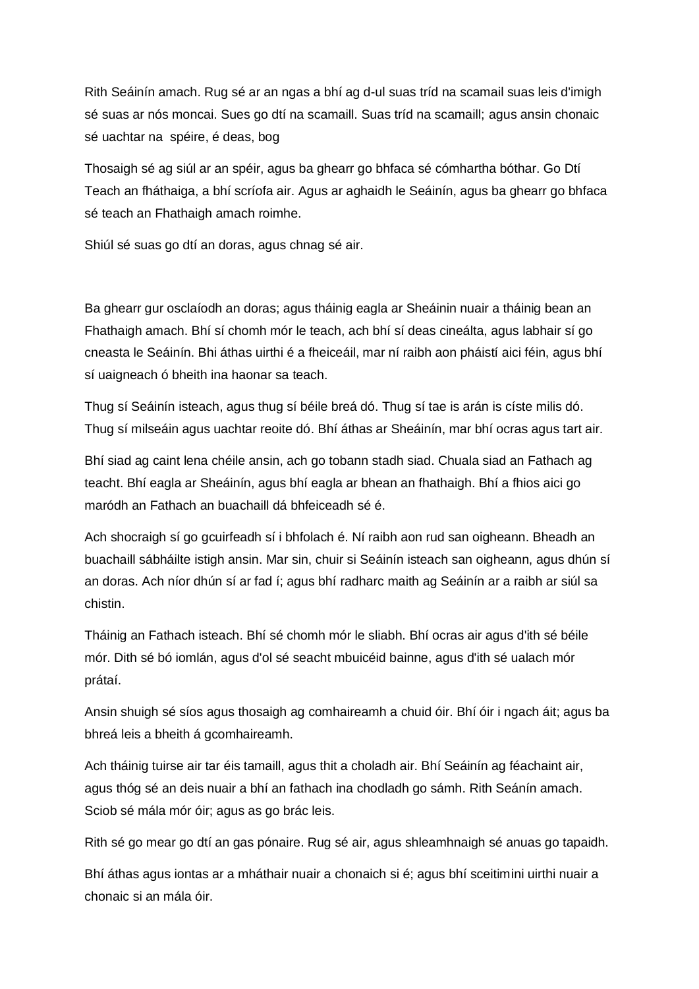Rith Seáinín amach. Rug sé ar an ngas a bhí ag d-ul suas tríd na scamail suas leis d'imigh sé suas ar nós moncai. Sues go dtí na scamaill. Suas tríd na scamaill; agus ansin chonaic sé uachtar na spéire, é deas, bog

Thosaigh sé ag siúl ar an spéir, agus ba ghearr go bhfaca sé cómhartha bóthar. Go Dtí Teach an fháthaiga, a bhí scríofa air. Agus ar aghaidh le Seáinín, agus ba ghearr go bhfaca sé teach an Fhathaigh amach roimhe.

Shiúl sé suas go dtí an doras, agus chnag sé air.

Ba ghearr gur osclaíodh an doras; agus tháinig eagla ar Sheáinin nuair a tháinig bean an Fhathaigh amach. Bhí sí chomh mór le teach, ach bhí sí deas cineálta, agus labhair sí go cneasta le Seáinín. Bhi áthas uirthi é a fheiceáil, mar ní raibh aon pháistí aici féin, agus bhí sí uaigneach ó bheith ina haonar sa teach.

Thug sí Seáinín isteach, agus thug sí béile breá dó. Thug sí tae is arán is císte milis dó. Thug sí milseáin agus uachtar reoite dó. Bhí áthas ar Sheáinín, mar bhí ocras agus tart air.

Bhí siad ag caint lena chéile ansin, ach go tobann stadh siad. Chuala siad an Fathach ag teacht. Bhí eagla ar Sheáinín, agus bhí eagla ar bhean an fhathaigh. Bhí a fhios aici go maródh an Fathach an buachaill dá bhfeiceadh sé é.

Ach shocraigh sí go gcuirfeadh sí i bhfolach é. Ní raibh aon rud san oigheann. Bheadh an buachaill sábháilte istigh ansin. Mar sin, chuir si Seáinín isteach san oigheann, agus dhún sí an doras. Ach níor dhún sí ar fad í; agus bhí radharc maith ag Seáinín ar a raibh ar siúl sa chistin.

Tháinig an Fathach isteach. Bhí sé chomh mór le sliabh. Bhí ocras air agus d'ith sé béile mór. Dith sé bó iomlán, agus d'ol sé seacht mbuicéid bainne, agus d'ith sé ualach mór prátaí.

Ansin shuigh sé síos agus thosaigh ag comhaireamh a chuid óir. Bhí óir i ngach áit; agus ba bhreá leis a bheith á gcomhaireamh.

Ach tháinig tuirse air tar éis tamaill, agus thit a choladh air. Bhí Seáinín ag féachaint air, agus thóg sé an deis nuair a bhí an fathach ina chodladh go sámh. Rith Seánín amach. Sciob sé mála mór óir; agus as go brác leis.

Rith sé go mear go dtí an gas pónaire. Rug sé air, agus shleamhnaigh sé anuas go tapaidh.

Bhí áthas agus iontas ar a mháthair nuair a chonaich si é; agus bhí sceitimini uirthi nuair a chonaic si an mála óir.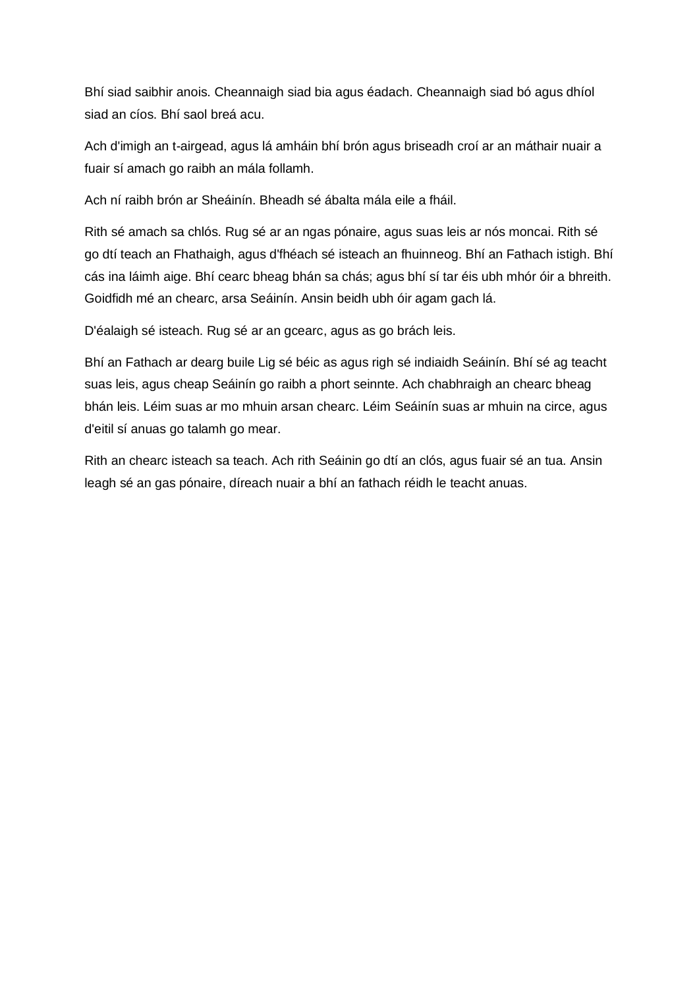Bhí siad saibhir anois. Cheannaigh siad bia agus éadach. Cheannaigh siad bó agus dhíol siad an cíos. Bhí saol breá acu.

Ach d'imigh an t-airgead, agus lá amháin bhí brón agus briseadh croí ar an máthair nuair a fuair sí amach go raibh an mála follamh.

Ach ní raibh brón ar Sheáinín. Bheadh sé ábalta mála eile a fháil.

Rith sé amach sa chlós. Rug sé ar an ngas pónaire, agus suas leis ar nós moncai. Rith sé go dtí teach an Fhathaigh, agus d'fhéach sé isteach an fhuinneog. Bhí an Fathach istigh. Bhí cás ina láimh aige. Bhí cearc bheag bhán sa chás; agus bhí sí tar éis ubh mhór óir a bhreith. Goidfidh mé an chearc, arsa Seáinín. Ansin beidh ubh óir agam gach lá.

D'éalaigh sé isteach. Rug sé ar an gcearc, agus as go brách leis.

Bhí an Fathach ar dearg buile Lig sé béic as agus righ sé indiaidh Seáinín. Bhí sé ag teacht suas leis, agus cheap Seáinín go raibh a phort seinnte. Ach chabhraigh an chearc bheag bhán leis. Léim suas ar mo mhuin arsan chearc. Léim Seáinín suas ar mhuin na circe, agus d'eitil sí anuas go talamh go mear.

Rith an chearc isteach sa teach. Ach rith Seáinin go dtí an clós, agus fuair sé an tua. Ansin leagh sé an gas pónaire, díreach nuair a bhí an fathach réidh le teacht anuas.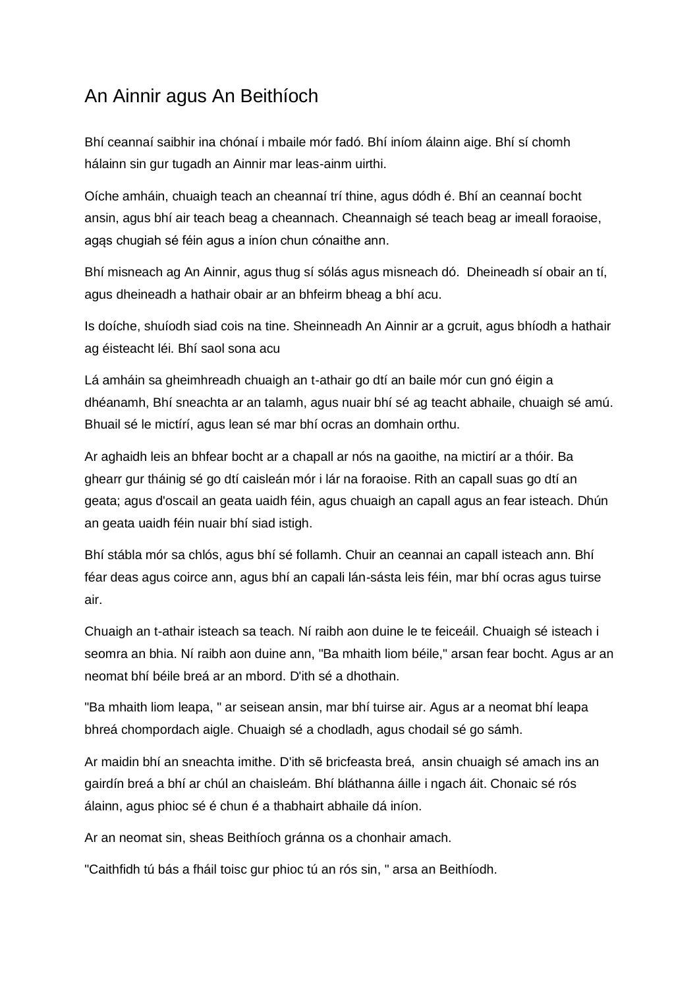# <span id="page-24-0"></span>An Ainnir agus An Beithíoch

Bhí ceannaí saibhir ina chónaí i mbaile mór fadó. Bhí iníom álainn aige. Bhí sí chomh hálainn sin gur tugadh an Ainnir mar leas-ainm uirthi.

Oíche amháin, chuaigh teach an cheannaí trí thine, agus dódh é. Bhí an ceannaí bocht ansin, agus bhí air teach beag a cheannach. Cheannaigh sé teach beag ar imeall foraoise, agąs chugiah sé féin agus a iníon chun cónaithe ann.

Bhí misneach ag An Ainnir, agus thug sí sólás agus misneach dó. Dheineadh sí obair an tí, agus dheineadh a hathair obair ar an bhfeirm bheag a bhí acu.

Is doíche, shuíodh siad cois na tine. Sheinneadh An Ainnir ar a gcruit, agus bhíodh a hathair ag éisteacht léi. Bhí saol sona acu

Lá amháin sa gheimhreadh chuaigh an t-athair go dtí an baile mór cun gnó éigin a dhéanamh, Bhí sneachta ar an talamh, agus nuair bhí sé ag teacht abhaile, chuaigh sé amú. Bhuail sé le mictírí, agus lean sé mar bhí ocras an domhain orthu.

Ar aghaidh leis an bhfear bocht ar a chapall ar nós na gaoithe, na mictirí ar a thóir. Ba ghearr gur tháinig sé go dtí caisleán mór i lár na foraoise. Rith an capall suas go dtí an geata; agus d'oscail an geata uaidh féin, agus chuaigh an capall agus an fear isteach. Dhún an geata uaidh féin nuair bhí siad istigh.

Bhí stábla mór sa chlós, agus bhí sé follamh. Chuir an ceannai an capall isteach ann. Bhí féar deas agus coirce ann, agus bhí an capali lán-sásta leis féin, mar bhí ocras agus tuirse air.

Chuaigh an t-athair isteach sa teach. Ní raibh aon duine le te feiceáil. Chuaigh sé isteach i seomra an bhia. Ní raibh aon duine ann, "Ba mhaith liom béile," arsan fear bocht. Agus ar an neomat bhí béile breá ar an mbord. D'ith sé a dhothain.

"Ba mhaith liom leapa, " ar seisean ansin, mar bhí tuirse air. Agus ar a neomat bhí leapa bhreá chompordach aigle. Chuaigh sé a chodladh, agus chodail sé go sámh.

Ar maidin bhí an sneachta imithe. D'ith sẽ bricfeasta breá, ansin chuaigh sé amach ins an gairdín breá a bhí ar chúl an chaisleám. Bhí bláthanna áille i ngach áit. Chonaic sé rós álainn, agus phioc sé é chun é a thabhairt abhaile dá iníon.

Ar an neomat sin, sheas Beithíoch gránna os a chonhair amach.

"Caithfidh tú bás a fháil toisc gur phioc tú an rós sin, " arsa an Beithíodh.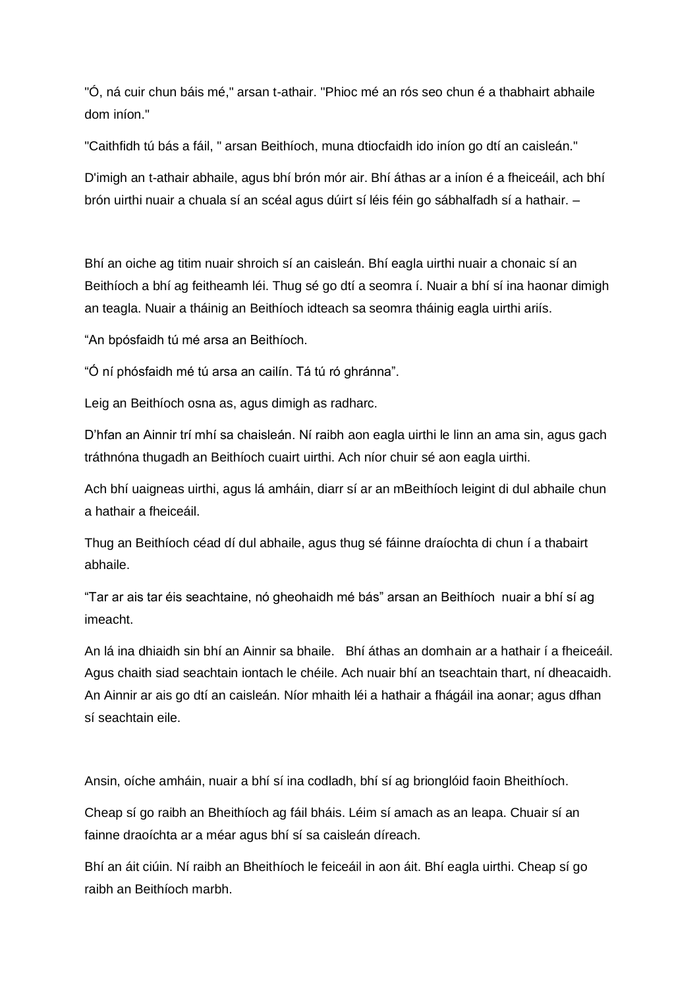"Ó, ná cuir chun báis mé," arsan t-athair. "Phioc mé an rós seo chun é a thabhairt abhaile dom iníon."

"Caithfidh tú bás a fáil, " arsan Beithíoch, muna dtiocfaidh ido iníon go dtí an caisleán."

D'imigh an t-athair abhaile, agus bhí brón mór air. Bhí áthas ar a iníon é a fheiceáil, ach bhí brón uirthi nuair a chuala sí an scéal agus dúirt sí léis féin go sábhalfadh sí a hathair. –

Bhí an oiche ag titim nuair shroich sí an caisleán. Bhí eagla uirthi nuair a chonaic sí an Beithíoch a bhí ag feitheamh léi. Thug sé go dtí a seomra í. Nuair a bhí sí ina haonar dimigh an teagla. Nuair a tháinig an Beithíoch idteach sa seomra tháinig eagla uirthi ariís.

"An bpósfaidh tú mé arsa an Beithíoch.

"Ó ní phósfaidh mé tú arsa an cailín. Tá tú ró ghránna".

Leig an Beithíoch osna as, agus dimigh as radharc.

D'hfan an Ainnir trí mhí sa chaisleán. Ní raibh aon eagla uirthi le linn an ama sin, agus gach tráthnóna thugadh an Beithíoch cuairt uirthi. Ach níor chuir sé aon eagla uirthi.

Ach bhí uaigneas uirthi, agus lá amháin, diarr sí ar an mBeithíoch leigint di dul abhaile chun a hathair a fheiceáil.

Thug an Beithíoch céad dí dul abhaile, agus thug sé fáinne draíochta di chun í a thabairt abhaile.

"Tar ar ais tar éis seachtaine, nó gheohaidh mé bás" arsan an Beithíoch nuair a bhí sí ag imeacht.

An lá ina dhiaidh sin bhí an Ainnir sa bhaile. Bhí áthas an domhain ar a hathair í a fheiceáil. Agus chaith siad seachtain iontach le chéile. Ach nuair bhí an tseachtain thart, ní dheacaidh. An Ainnir ar ais go dtí an caisleán. Níor mhaith léi a hathair a fhágáil ina aonar; agus dfhan sí seachtain eile.

Ansin, oíche amháin, nuair a bhí sí ina codladh, bhí sí ag brionglóid faoin Bheithíoch.

Cheap sí go raibh an Bheithíoch ag fáil bháis. Léim sí amach as an leapa. Chuair sí an fainne draoíchta ar a méar agus bhí sí sa caisleán díreach.

Bhí an áit ciúin. Ní raibh an Bheithíoch le feiceáil in aon áit. Bhí eagla uirthi. Cheap sí go raibh an Beithíoch marbh.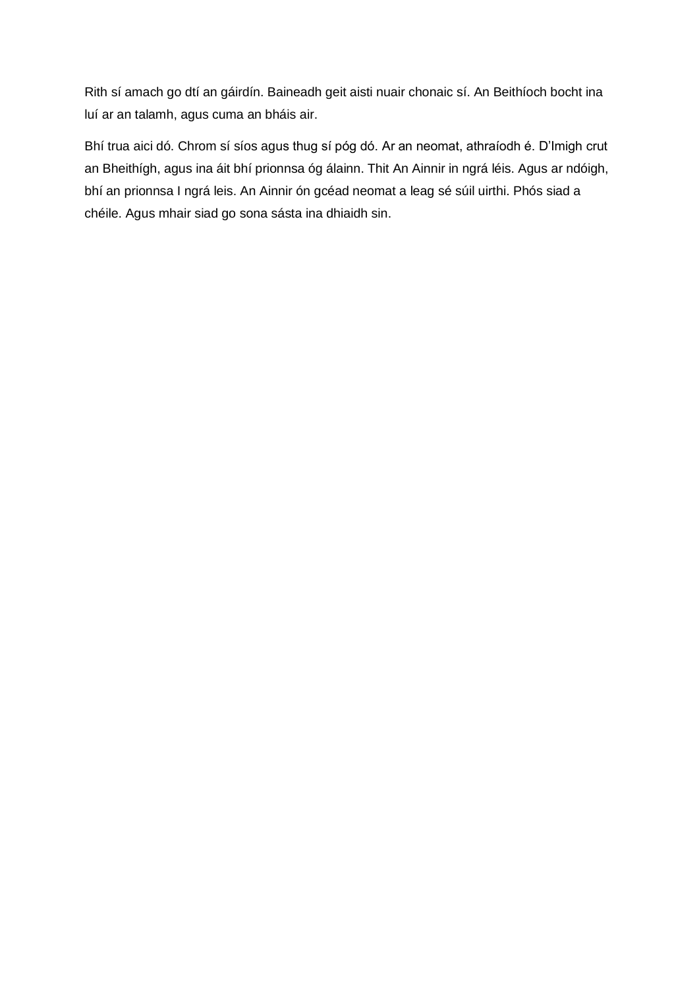Rith sí amach go dtí an gáirdín. Baineadh geit aisti nuair chonaic sí. An Beithíoch bocht ina luí ar an talamh, agus cuma an bháis air.

Bhí trua aici dó. Chrom sí síos agus thug sí póg dó. Ar an neomat, athraíodh é. D'Imigh crut an Bheithígh, agus ina áit bhí prionnsa óg álainn. Thit An Ainnir in ngrá léis. Agus ar ndóigh, bhí an prionnsa I ngrá leis. An Ainnir ón gcéad neomat a leag sé súil uirthi. Phós siad a chéile. Agus mhair siad go sona sásta ina dhiaidh sin.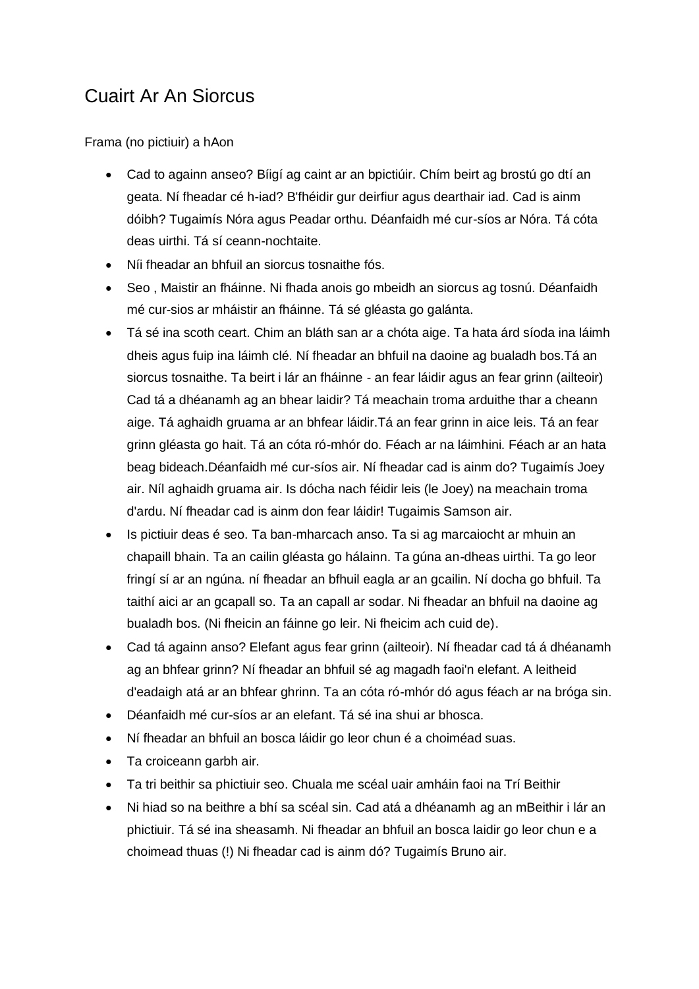# <span id="page-27-0"></span>Cuairt Ar An Siorcus

Frama (no pictiuir) a hAon

- Cad to againn anseo? Bíigí ag caint ar an bpictiúir. Chím beirt ag brostú go dtí an geata. Ní fheadar cé h-iad? B'fhéidir gur deirfiur agus dearthair iad. Cad is ainm dóibh? Tugaimís Nóra agus Peadar orthu. Déanfaidh mé cur-síos ar Nóra. Tá cóta deas uirthi. Tá sí ceann-nochtaite.
- Níi fheadar an bhfuil an siorcus tosnaithe fós.
- Seo , Maistir an fháinne. Ni fhada anois go mbeidh an siorcus ag tosnú. Déanfaidh mé cur-sios ar mháistir an fháinne. Tá sé gléasta go galánta.
- Tá sé ina scoth ceart. Chim an bláth san ar a chóta aige. Ta hata árd síoda ina láimh dheis agus fuip ina láimh clé. Ní fheadar an bhfuil na daoine ag bualadh bos.Tá an siorcus tosnaithe. Ta beirt i lár an fháinne - an fear láidir agus an fear grinn (ailteoir) Cad tá a dhéanamh ag an bhear laidir? Tá meachain troma arduithe thar a cheann aige. Tá aghaidh gruama ar an bhfear láidir.Tá an fear grinn in aice leis. Tá an fear grinn gléasta go hait. Tá an cóta ró-mhór do. Féach ar na láimhini. Féach ar an hata beag bideach.Déanfaidh mé cur-síos air. Ní fheadar cad is ainm do? Tugaimís Joey air. Níl aghaidh gruama air. Is dócha nach féidir leis (le Joey) na meachain troma d'ardu. Ní fheadar cad is ainm don fear láidir! Tugaimis Samson air.
- Is pictiuir deas é seo. Ta ban-mharcach anso. Ta si ag marcaiocht ar mhuin an chapaill bhain. Ta an cailin gléasta go hálainn. Ta gúna an-dheas uirthi. Ta go leor fringí sí ar an ngúna. ní fheadar an bfhuil eagla ar an gcailin. Ní docha go bhfuil. Ta taithí aici ar an gcapall so. Ta an capall ar sodar. Ni fheadar an bhfuil na daoine ag bualadh bos. (Ni fheicin an fáinne go leir. Ni fheicim ach cuid de).
- Cad tá againn anso? Elefant agus fear grinn (ailteoir). Ní fheadar cad tá á dhéanamh ag an bhfear grinn? Ní fheadar an bhfuil sé ag magadh faoi'n elefant. A leitheid d'eadaigh atá ar an bhfear ghrinn. Ta an cóta ró-mhór dó agus féach ar na bróga sin.
- Déanfaidh mé cur-síos ar an elefant. Tá sé ina shui ar bhosca.
- Ní fheadar an bhfuil an bosca láidir go leor chun é a choiméad suas.
- Ta croiceann garbh air.
- Ta tri beithir sa phictiuir seo. Chuala me scéal uair amháin faoi na Trí Beithir
- Ni hiad so na beithre a bhí sa scéal sin. Cad atá a dhéanamh ag an mBeithir i lár an phictiuir. Tá sé ina sheasamh. Ni fheadar an bhfuil an bosca laidir go leor chun e a choimead thuas (!) Ni fheadar cad is ainm dó? Tugaimís Bruno air.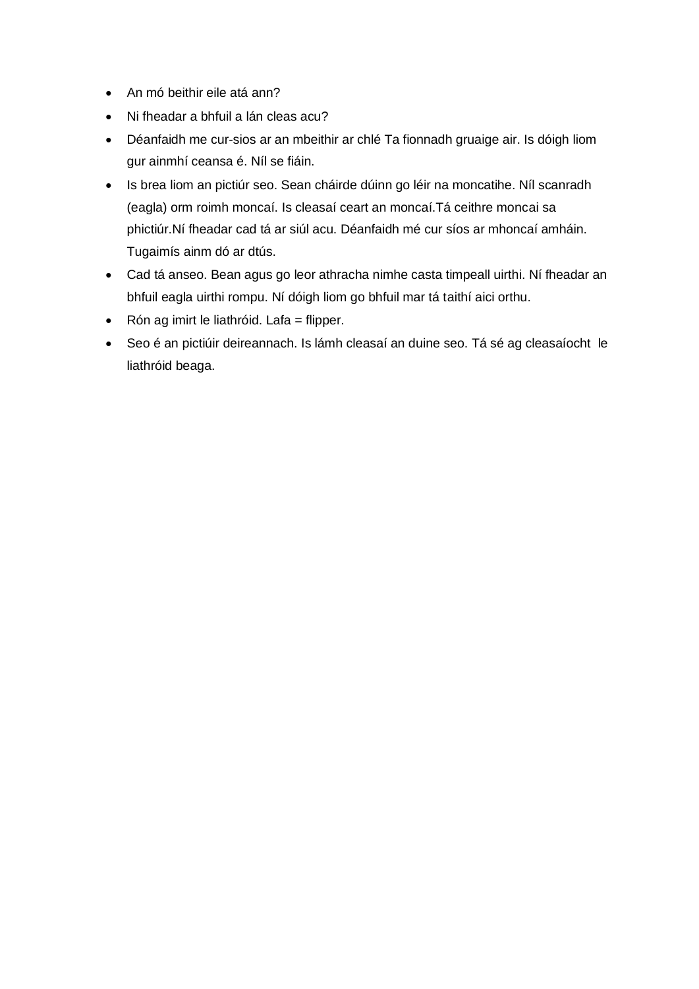- An mó beithir eile atá ann?
- Ni fheadar a bhfuil a lán cleas acu?
- Déanfaidh me cur-sios ar an mbeithir ar chlé Ta fionnadh gruaige air. Is dóigh liom gur ainmhí ceansa é. Níl se fiáin.
- Is brea liom an pictiúr seo. Sean cháirde dúinn go léir na moncatihe. Níl scanradh (eagla) orm roimh moncaí. Is cleasaí ceart an moncaí.Tá ceithre moncai sa phictiúr.Ní fheadar cad tá ar siúl acu. Déanfaidh mé cur síos ar mhoncaí amháin. Tugaimís ainm dó ar dtús.
- Cad tá anseo. Bean agus go leor athracha nimhe casta timpeall uirthi. Ní fheadar an bhfuil eagla uirthi rompu. Ní dóigh liom go bhfuil mar tá taithí aici orthu.
- Rón ag imirt le liathróid. Lafa = flipper.
- Seo é an pictiúir deireannach. Is lámh cleasaí an duine seo. Tá sé ag cleasaíocht le liathróid beaga.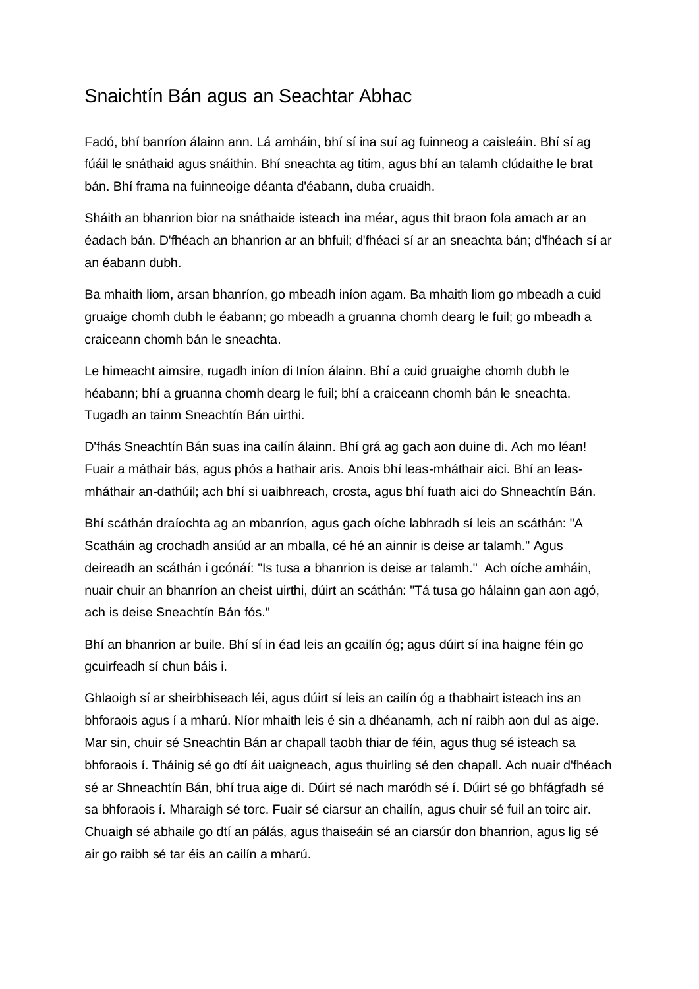### <span id="page-29-0"></span>Snaichtín Bán agus an Seachtar Abhac

Fadó, bhí banríon álainn ann. Lá amháin, bhí sí ina suí ag fuinneog a caisleáin. Bhí sí ag fúáil le snáthaid agus snáithin. Bhí sneachta ag titim, agus bhí an talamh clúdaithe le brat bán. Bhí frama na fuinneoige déanta d'éabann, duba cruaidh.

Sháith an bhanrion bior na snáthaide isteach ina méar, agus thit braon fola amach ar an éadach bán. D'fhéach an bhanrion ar an bhfuil; d'fhéaci sí ar an sneachta bán; d'fhéach sí ar an éabann dubh.

Ba mhaith liom, arsan bhanríon, go mbeadh iníon agam. Ba mhaith liom go mbeadh a cuid gruaige chomh dubh le éabann; go mbeadh a gruanna chomh dearg le fuil; go mbeadh a craiceann chomh bán le sneachta.

Le himeacht aimsire, rugadh iníon di Iníon álainn. Bhí a cuid gruaighe chomh dubh le héabann; bhí a gruanna chomh dearg le fuil; bhí a craiceann chomh bán le sneachta. Tugadh an tainm Sneachtín Bán uirthi.

D'fhás Sneachtín Bán suas ina cailín álainn. Bhí grá ag gach aon duine di. Ach mo léan! Fuair a máthair bás, agus phós a hathair aris. Anois bhí leas-mháthair aici. Bhí an leasmháthair an-dathúil; ach bhí si uaibhreach, crosta, agus bhí fuath aici do Shneachtín Bán.

Bhí scáthán draíochta ag an mbanríon, agus gach oíche labhradh sí leis an scáthán: "A Scatháin ag crochadh ansiúd ar an mballa, cé hé an ainnir is deise ar talamh." Agus deireadh an scáthán i gcónáí: "Is tusa a bhanrion is deise ar talamh." Ach oíche amháin, nuair chuir an bhanríon an cheist uirthi, dúirt an scáthán: "Tá tusa go hálainn gan aon agó, ach is deise Sneachtín Bán fós."

Bhí an bhanrion ar buile. Bhí sí in éad leis an gcailín óg; agus dúirt sí ina haigne féin go gcuirfeadh sí chun báis i.

Ghlaoigh sí ar sheirbhiseach léi, agus dúirt sí leis an cailín óg a thabhairt isteach ins an bhforaois agus í a mharú. Níor mhaith leis é sin a dhéanamh, ach ní raibh aon dul as aige. Mar sin, chuir sé Sneachtin Bán ar chapall taobh thiar de féin, agus thug sé isteach sa bhforaois í. Tháinig sé go dtí áit uaigneach, agus thuirling sé den chapall. Ach nuair d'fhéach sé ar Shneachtín Bán, bhí trua aige di. Dúirt sé nach maródh sé í. Dúirt sé go bhfágfadh sé sa bhforaois í. Mharaigh sé torc. Fuair sé ciarsur an chailín, agus chuir sé fuil an toirc air. Chuaigh sé abhaile go dtí an pálás, agus thaiseáin sé an ciarsúr don bhanrion, agus lig sé air go raibh sé tar éis an cailín a mharú.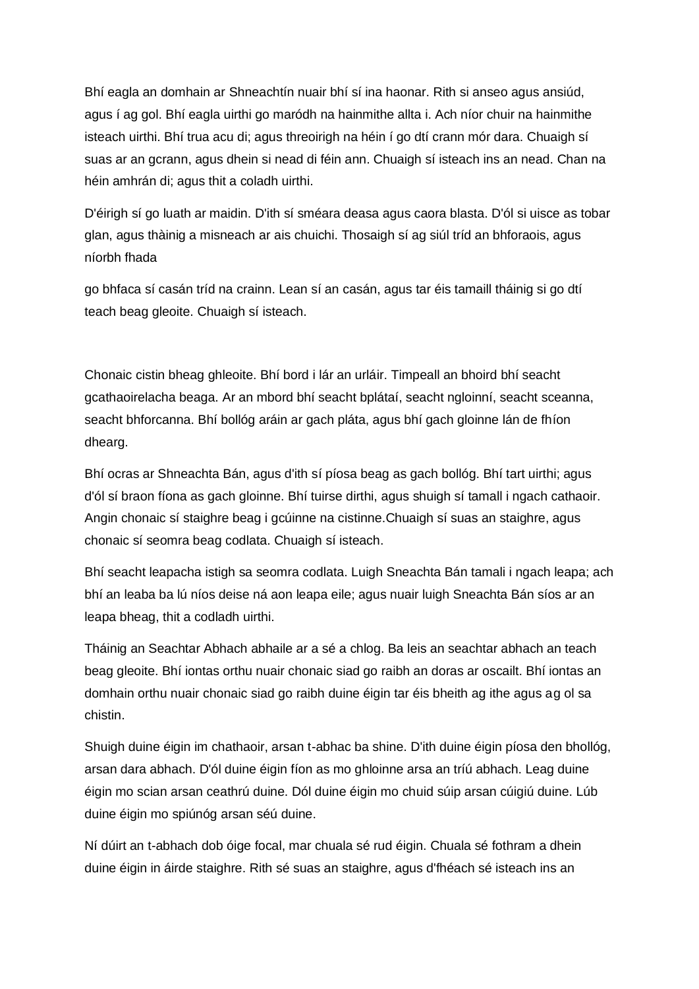Bhí eagla an domhain ar Shneachtín nuair bhí sí ina haonar. Rith si anseo agus ansiúd, agus í ag gol. Bhí eagla uirthi go maródh na hainmithe allta i. Ach níor chuir na hainmithe isteach uirthi. Bhí trua acu di; agus threoirigh na héin í go dtí crann mór dara. Chuaigh sí suas ar an gcrann, agus dhein si nead di féin ann. Chuaigh sí isteach ins an nead. Chan na héin amhrán di; agus thit a coladh uirthi.

D'éirigh sí go luath ar maidin. D'ith sí sméara deasa agus caora blasta. D'ól si uisce as tobar glan, agus thàinig a misneach ar ais chuichi. Thosaigh sí ag siúl tríd an bhforaois, agus níorbh fhada

go bhfaca sí casán tríd na crainn. Lean sí an casán, agus tar éis tamaill tháinig si go dtí teach beag gleoite. Chuaigh sí isteach.

Chonaic cistin bheag ghleoite. Bhí bord i lár an urláir. Timpeall an bhoird bhí seacht gcathaoirelacha beaga. Ar an mbord bhí seacht bplátaí, seacht ngloinní, seacht sceanna, seacht bhforcanna. Bhí bollóg aráin ar gach pláta, agus bhí gach gloinne lán de fhíon dhearg.

Bhí ocras ar Shneachta Bán, agus d'ith sí píosa beag as gach bollóg. Bhí tart uirthi; agus d'ól sí braon fíona as gach gloinne. Bhí tuirse dirthi, agus shuigh sí tamall i ngach cathaoir. Angin chonaic sí staighre beag i gcúinne na cistinne.Chuaigh sí suas an staighre, agus chonaic sí seomra beag codlata. Chuaigh sí isteach.

Bhí seacht leapacha istigh sa seomra codlata. Luigh Sneachta Bán tamali i ngach leapa; ach bhí an leaba ba lú níos deise ná aon leapa eile; agus nuair luigh Sneachta Bán síos ar an leapa bheag, thit a codladh uirthi.

Tháinig an Seachtar Abhach abhaile ar a sé a chlog. Ba leis an seachtar abhach an teach beag gleoite. Bhí iontas orthu nuair chonaic siad go raibh an doras ar oscailt. Bhí iontas an domhain orthu nuair chonaic siad go raibh duine éigin tar éis bheith ag ithe agus ag ol sa chistin.

Shuigh duine éigin im chathaoir, arsan t-abhac ba shine. D'ith duine éigin píosa den bhollóg, arsan dara abhach. D'ól duine éigin fíon as mo ghloinne arsa an tríú abhach. Leag duine éigin mo scian arsan ceathrú duine. Dól duine éigin mo chuid súip arsan cúigiú duine. Lúb duine éigin mo spiúnóg arsan séú duine.

Ní dúirt an t-abhach dob óige focal, mar chuala sé rud éigin. Chuala sé fothram a dhein duine éigin in áirde staighre. Rith sé suas an staighre, agus d'fhéach sé isteach ins an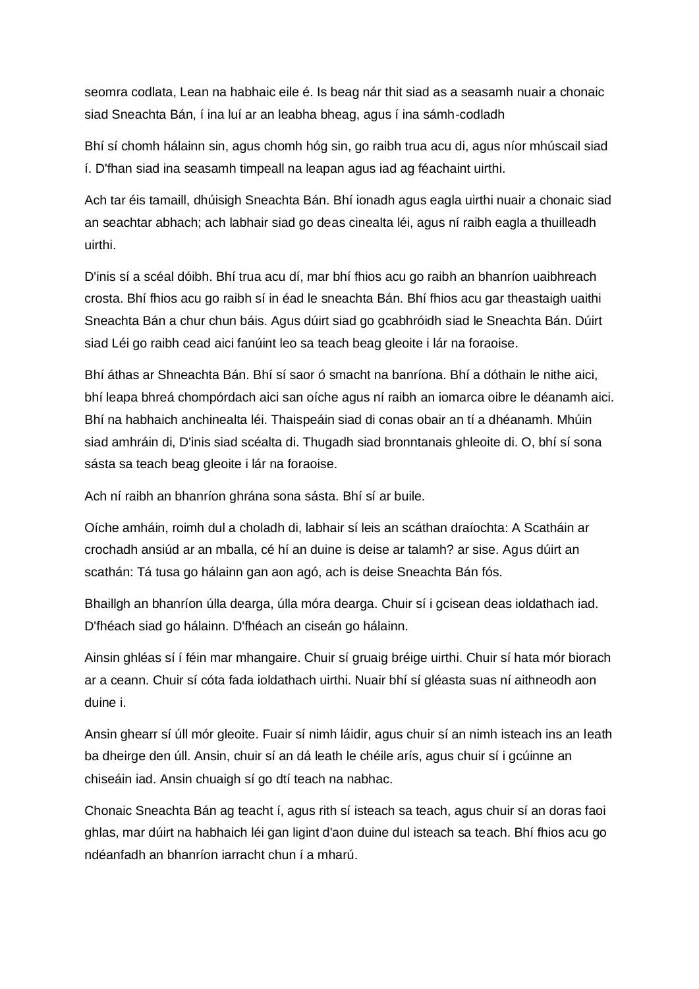seomra codlata, Lean na habhaic eile é. Is beag nár thit siad as a seasamh nuair a chonaic siad Sneachta Bán, í ina luí ar an leabha bheag, agus í ina sámh-codladh

Bhí sí chomh hálainn sin, agus chomh hóg sin, go raibh trua acu di, agus níor mhúscail siad í. D'fhan siad ina seasamh timpeall na leapan agus iad ag féachaint uirthi.

Ach tar éis tamaill, dhúisigh Sneachta Bán. Bhí ionadh agus eagla uirthi nuair a chonaic siad an seachtar abhach; ach labhair siad go deas cinealta léi, agus ní raibh eagla a thuilleadh uirthi.

D'inis sí a scéal dóibh. Bhí trua acu dí, mar bhí fhios acu go raibh an bhanríon uaibhreach crosta. Bhí fhios acu go raibh sí in éad le sneachta Bán. Bhí fhios acu gar theastaigh uaithi Sneachta Bán a chur chun báis. Agus dúirt siad go gcabhróidh siad le Sneachta Bán. Dúirt siad Léi go raibh cead aici fanúint leo sa teach beag gleoite i lár na foraoise.

Bhí áthas ar Shneachta Bán. Bhí sí saor ó smacht na banríona. Bhí a dóthain le nithe aici, bhí leapa bhreá chompórdach aici san oíche agus ní raibh an iomarca oibre le déanamh aici. Bhí na habhaich anchinealta léi. Thaispeáin siad di conas obair an tí a dhéanamh. Mhúin siad amhráin di, D'inis siad scéalta di. Thugadh siad bronntanais ghleoite di. O, bhí sí sona sásta sa teach beag gleoite i lár na foraoise.

Ach ní raibh an bhanríon ghrána sona sásta. Bhí sí ar buile.

Oíche amháin, roimh dul a choladh di, labhair sí leis an scáthan draíochta: A Scatháin ar crochadh ansiúd ar an mballa, cé hí an duine is deise ar talamh? ar sise. Agus dúirt an scathán: Tá tusa go hálainn gan aon agó, ach is deise Sneachta Bán fós.

Bhaillgh an bhanríon úlla dearga, úlla móra dearga. Chuir sí i gcisean deas ioldathach iad. D'fhéach siad go hálainn. D'fhéach an ciseán go hálainn.

Ainsin ghléas sí í féin mar mhangaire. Chuir sí gruaig bréige uirthi. Chuir sí hata mór biorach ar a ceann. Chuir sí cóta fada ioldathach uirthi. Nuair bhí sí gléasta suas ní aithneodh aon duine i.

Ansin ghearr sí úll mór gleoite. Fuair sí nimh láidir, agus chuir sí an nimh isteach ins an leath ba dheirge den úll. Ansin, chuir sí an dá leath le chéile arís, agus chuir sí i gcúinne an chiseáin iad. Ansin chuaigh sí go dtí teach na nabhac.

Chonaic Sneachta Bán ag teacht í, agus rith sí isteach sa teach, agus chuir sí an doras faoi ghlas, mar dúirt na habhaich léi gan ligint d'aon duine dul isteach sa teach. Bhí fhios acu go ndéanfadh an bhanríon iarracht chun í a mharú.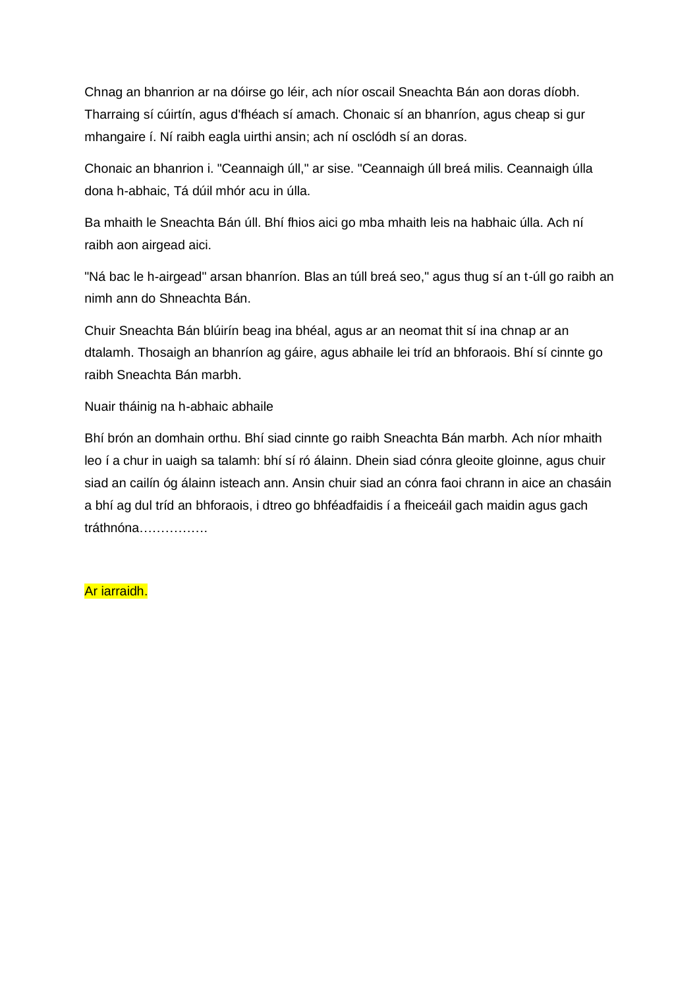Chnag an bhanrion ar na dóirse go léir, ach níor oscail Sneachta Bán aon doras díobh. Tharraing sí cúirtín, agus d'fhéach sí amach. Chonaic sí an bhanríon, agus cheap si gur mhangaire í. Ní raibh eagla uirthi ansin; ach ní osclódh sí an doras.

Chonaic an bhanrion i. "Ceannaigh úll," ar sise. "Ceannaigh úll breá milis. Ceannaigh úlla dona h-abhaic, Tá dúil mhór acu in úlla.

Ba mhaith le Sneachta Bán úll. Bhí fhios aici go mba mhaith leis na habhaic úlla. Ach ní raibh aon airgead aici.

"Ná bac le h-airgead" arsan bhanríon. Blas an túll breá seo," agus thug sí an t-úll go raibh an nimh ann do Shneachta Bán.

Chuir Sneachta Bán blúirín beag ina bhéal, agus ar an neomat thit sí ina chnap ar an dtalamh. Thosaigh an bhanríon ag gáire, agus abhaile lei tríd an bhforaois. Bhí sí cinnte go raibh Sneachta Bán marbh.

Nuair tháinig na h-abhaic abhaile

Bhí brón an domhain orthu. Bhí siad cinnte go raibh Sneachta Bán marbh. Ach níor mhaith leo í a chur in uaigh sa talamh: bhí sí ró álainn. Dhein siad cónra gleoite gloinne, agus chuir siad an cailín óg álainn isteach ann. Ansin chuir siad an cónra faoi chrann in aice an chasáin a bhí ag dul tríd an bhforaois, i dtreo go bhféadfaidis í a fheiceáil gach maidin agus gach tráthnóna…………….

#### Ar iarraidh.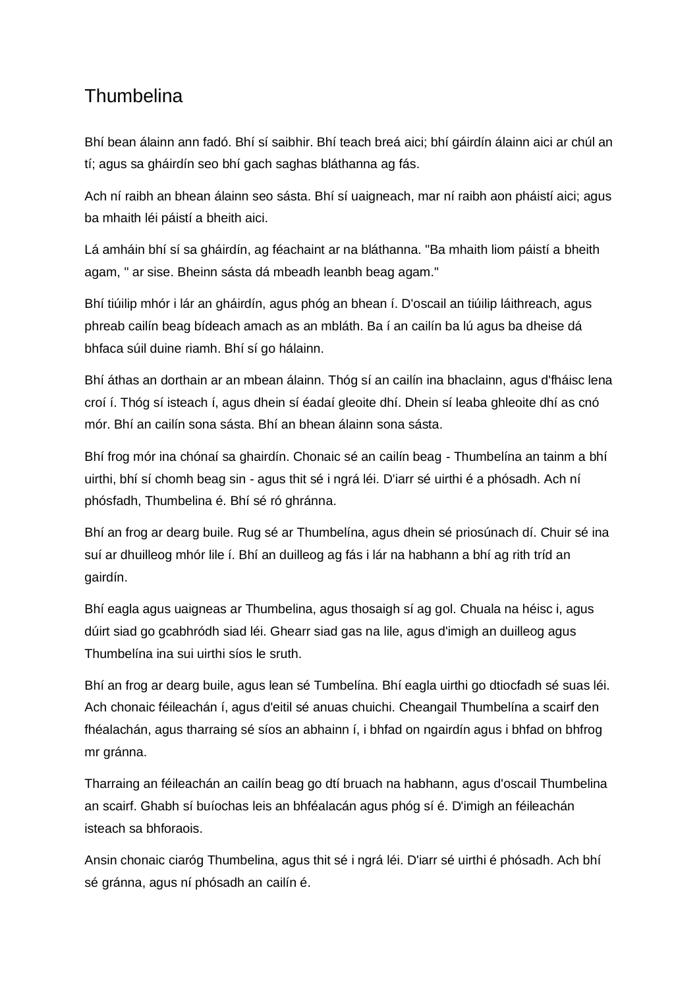# <span id="page-33-0"></span>**Thumbelina**

Bhí bean álainn ann fadó. Bhí sí saibhir. Bhí teach breá aici; bhí gáirdín álainn aici ar chúl an tí; agus sa gháirdín seo bhí gach saghas bláthanna ag fás.

Ach ní raibh an bhean álainn seo sásta. Bhí sí uaigneach, mar ní raibh aon pháistí aici; agus ba mhaith léi páistí a bheith aici.

Lá amháin bhí sí sa gháirdín, ag féachaint ar na bláthanna. "Ba mhaith liom páistí a bheith agam, " ar sise. Bheinn sásta dá mbeadh leanbh beag agam."

Bhí tiúilip mhór i lár an gháirdín, agus phóg an bhean í. D'oscail an tiúilip láithreach, agus phreab cailín beag bídeach amach as an mbláth. Ba í an cailín ba lú agus ba dheise dá bhfaca súil duine riamh. Bhí sí go hálainn.

Bhí áthas an dorthain ar an mbean álainn. Thóg sí an cailín ina bhaclainn, agus d'fháisc lena croí í. Thóg sí isteach í, agus dhein sí éadaí gleoite dhí. Dhein sí leaba ghleoite dhí as cnó mór. Bhí an cailín sona sásta. Bhí an bhean álainn sona sásta.

Bhí frog mór ina chónaí sa ghairdín. Chonaic sé an cailín beag - Thumbelína an tainm a bhí uirthi, bhí sí chomh beag sin - agus thit sé i ngrá léi. D'iarr sé uirthi é a phósadh. Ach ní phósfadh, Thumbelina é. Bhí sé ró ghránna.

Bhí an frog ar dearg buile. Rug sé ar Thumbelína, agus dhein sé priosúnach dí. Chuir sé ina suí ar dhuilleog mhór lile í. Bhí an duilleog ag fás i lár na habhann a bhí ag rith tríd an gairdín.

Bhí eagla agus uaigneas ar Thumbelina, agus thosaigh sí ag gol. Chuala na héisc i, agus dúirt siad go gcabhródh siad léi. Ghearr siad gas na lile, agus d'imigh an duilleog agus Thumbelína ina sui uirthi síos le sruth.

Bhí an frog ar dearg buile, agus lean sé Tumbelína. Bhí eagla uirthi go dtiocfadh sé suas léi. Ach chonaic féileachán í, agus d'eitil sé anuas chuichi. Cheangail Thumbelína a scairf den fhéalachán, agus tharraing sé síos an abhainn í, i bhfad on ngairdín agus i bhfad on bhfrog mr gránna.

Tharraing an féileachán an cailín beag go dtí bruach na habhann, agus d'oscail Thumbelina an scairf. Ghabh sí buíochas leis an bhféalacán agus phóg sí é. D'imigh an féileachán isteach sa bhforaois.

Ansin chonaic ciaróg Thumbelina, agus thit sé i ngrá léi. D'iarr sé uirthi é phósadh. Ach bhí sé gránna, agus ní phósadh an cailín é.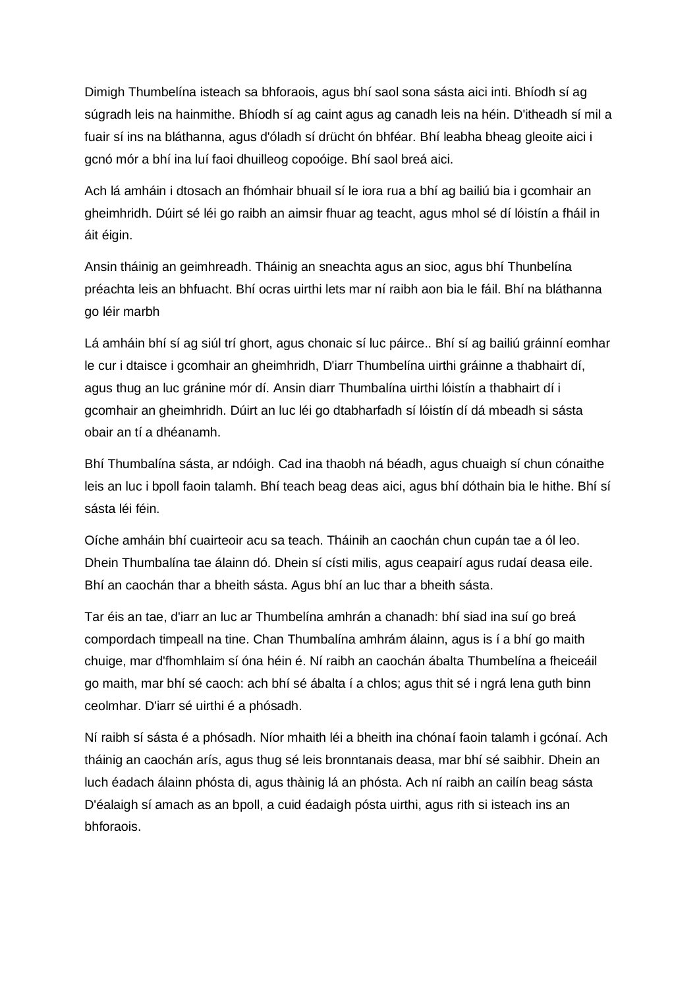Dimigh Thumbelína isteach sa bhforaois, agus bhí saol sona sásta aici inti. Bhíodh sí ag súgradh leis na hainmithe. Bhíodh sí ag caint agus ag canadh leis na héin. D'itheadh sí mil a fuair sí ins na bláthanna, agus d'óladh sí drücht ón bhféar. Bhí leabha bheag gleoite aici i gcnó mór a bhí ina luí faoi dhuilleog copoóige. Bhí saol breá aici.

Ach lá amháin i dtosach an fhómhair bhuail sí le iora rua a bhí ag bailiú bia i gcomhair an gheimhridh. Dúirt sé léi go raibh an aimsir fhuar ag teacht, agus mhol sé dí lóistín a fháil in áit éigin.

Ansin tháinig an geimhreadh. Tháinig an sneachta agus an sioc, agus bhí Thunbelína préachta leis an bhfuacht. Bhí ocras uirthi lets mar ní raibh aon bia le fáil. Bhí na bláthanna go léir marbh

Lá amháin bhí sí ag siúl trí ghort, agus chonaic sí luc páirce.. Bhí sí ag bailiú gráinní eomhar le cur i dtaisce i gcomhair an gheimhridh, D'iarr Thumbelína uirthi gráinne a thabhairt dí, agus thug an luc gránine mór dí. Ansin diarr Thumbalína uirthi lóistín a thabhairt dí i gcomhair an gheimhridh. Dúirt an luc léi go dtabharfadh sí lóistín dí dá mbeadh si sásta obair an tí a dhéanamh.

Bhí Thumbalína sásta, ar ndóigh. Cad ina thaobh ná béadh, agus chuaigh sí chun cónaithe leis an luc i bpoll faoin talamh. Bhí teach beag deas aici, agus bhí dóthain bia le hithe. Bhí sí sásta léi féin.

Oíche amháin bhí cuairteoir acu sa teach. Tháinih an caochán chun cupán tae a ól leo. Dhein Thumbalína tae álainn dó. Dhein sí císti milis, agus ceapairí agus rudaí deasa eile. Bhí an caochán thar a bheith sásta. Agus bhí an luc thar a bheith sásta.

Tar éis an tae, d'iarr an luc ar Thumbelína amhrán a chanadh: bhí siad ina suí go breá compordach timpeall na tine. Chan Thumbalína amhrám álainn, agus is í a bhí go maith chuige, mar d'fhomhlaim sí óna héin é. Ní raibh an caochán ábalta Thumbelína a fheiceáil go maith, mar bhí sé caoch: ach bhí sé ábalta í a chlos; agus thit sé i ngrá lena guth binn ceolmhar. D'iarr sé uirthi é a phósadh.

Ní raibh sí sásta é a phósadh. Níor mhaith léi a bheith ina chónaí faoin talamh i gcónaí. Ach tháinig an caochán arís, agus thug sé leis bronntanais deasa, mar bhí sé saibhir. Dhein an luch éadach álainn phósta di, agus thàinig lá an phósta. Ach ní raibh an cailín beag sásta D'éalaigh sí amach as an bpoll, a cuid éadaigh pósta uirthi, agus rith si isteach ins an bhforaois.